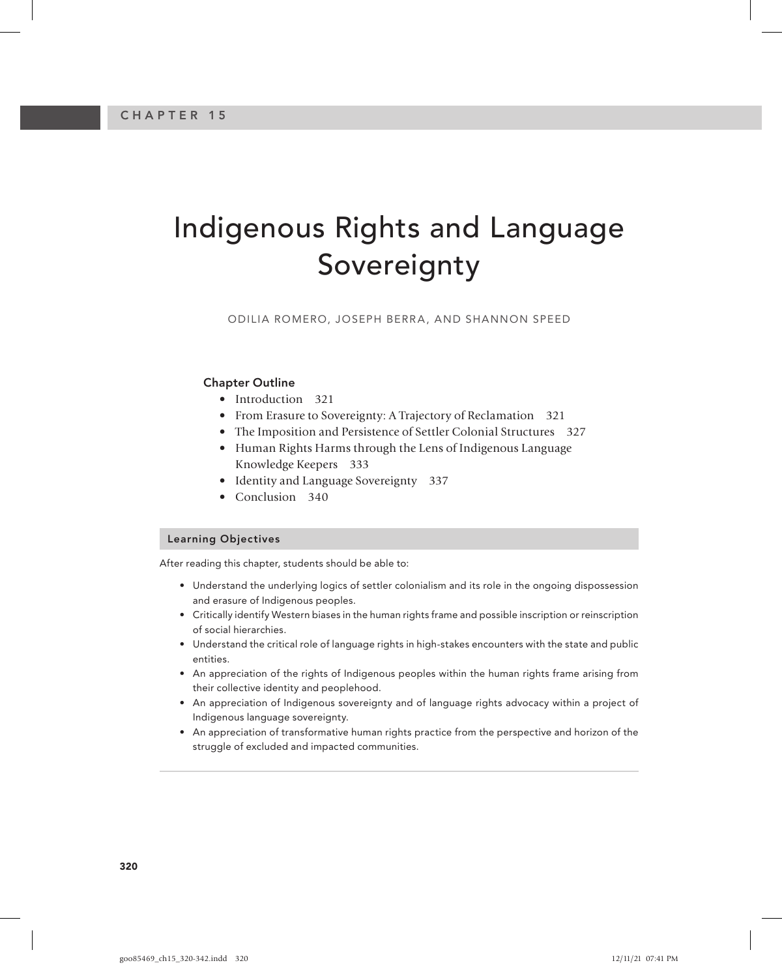# Indigenous Rights and Language Sovereignty

ODILIA ROMERO, JOSEPH BERRA, AND SHANNON SPEED

#### Chapter Outline

- Introduction 321
- From Erasure to Sovereignty: A Trajectory of Reclamation 321
- The Imposition and Persistence of Settler Colonial Structures 327
- Human Rights Harms through the Lens of Indigenous Language Knowledge Keepers 333
- Identity and Language Sovereignty 337
- Conclusion 340

#### Learning Objectives

After reading this chapter, students should be able to:

- Understand the underlying logics of settler colonialism and its role in the ongoing dispossession and erasure of Indigenous peoples.
- Critically identify Western biases in the human rights frame and possible inscription or reinscription of social hierarchies.
- Understand the critical role of language rights in high-stakes encounters with the state and public entities.
- An appreciation of the rights of Indigenous peoples within the human rights frame arising from their collective identity and peoplehood.
- An appreciation of Indigenous sovereignty and of language rights advocacy within a project of Indigenous language sovereignty.
- An appreciation of transformative human rights practice from the perspective and horizon of the struggle of excluded and impacted communities.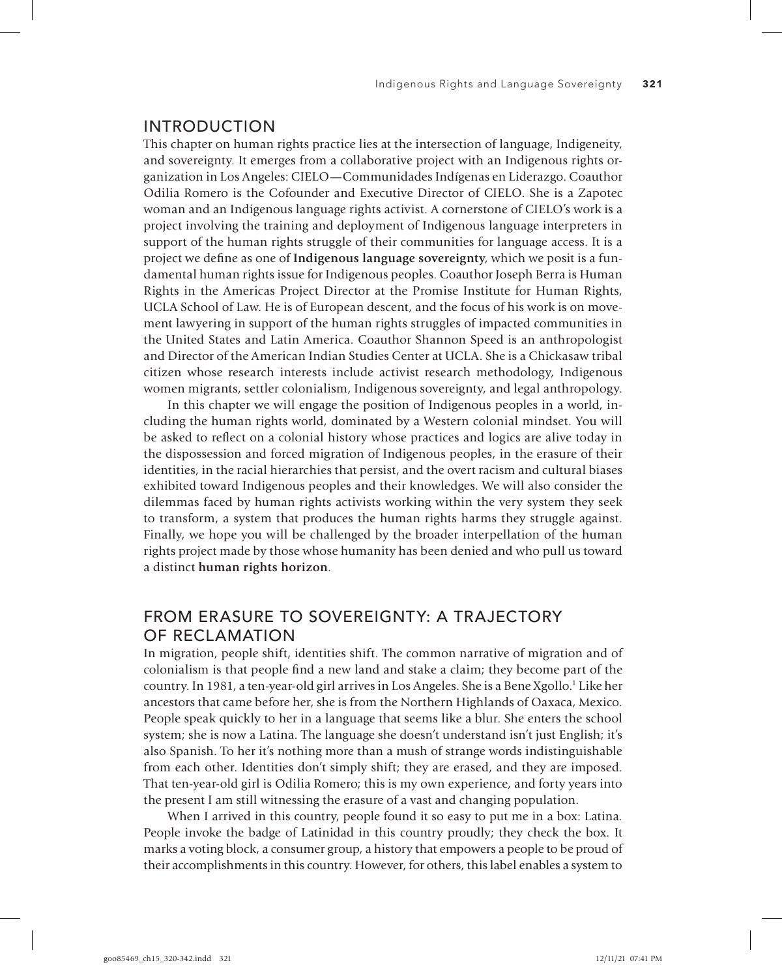# INTRODUCTION

This chapter on human rights practice lies at the intersection of language, Indigeneity, and sovereignty. It emerges from a collaborative project with an Indigenous rights organization in Los Angeles: CIELO—Communidades Indígenas en Liderazgo. Coauthor Odilia Romero is the Cofounder and Executive Director of CIELO. She is a Zapotec woman and an Indigenous language rights activist. A cornerstone of CIELO's work is a project involving the training and deployment of Indigenous language interpreters in support of the human rights struggle of their communities for language access. It is a project we define as one of **Indigenous language sovereignty**, which we posit is a fundamental human rights issue for Indigenous peoples. Coauthor Joseph Berra is Human Rights in the Americas Project Director at the Promise Institute for Human Rights, UCLA School of Law. He is of European descent, and the focus of his work is on movement lawyering in support of the human rights struggles of impacted communities in the United States and Latin America. Coauthor Shannon Speed is an anthropologist and Director of the American Indian Studies Center at UCLA. She is a Chickasaw tribal citizen whose research interests include activist research methodology, Indigenous women migrants, settler colonialism, Indigenous sovereignty, and legal anthropology.

In this chapter we will engage the position of Indigenous peoples in a world, including the human rights world, dominated by a Western colonial mindset. You will be asked to reflect on a colonial history whose practices and logics are alive today in the dispossession and forced migration of Indigenous peoples, in the erasure of their identities, in the racial hierarchies that persist, and the overt racism and cultural biases exhibited toward Indigenous peoples and their knowledges. We will also consider the dilemmas faced by human rights activists working within the very system they seek to transform, a system that produces the human rights harms they struggle against. Finally, we hope you will be challenged by the broader interpellation of the human rights project made by those whose humanity has been denied and who pull us toward a distinct **human rights horizon**.

# FROM ERASURE TO SOVEREIGNTY: A TRAJECTORY OF RECLAMATION

In migration, people shift, identities shift. The common narrative of migration and of colonialism is that people find a new land and stake a claim; they become part of the country. In 1981, a ten-year-old girl arrives in Los Angeles. She is a Bene Xgollo.<sup>1</sup> Like her ancestors that came before her, she is from the Northern Highlands of Oaxaca, Mexico. People speak quickly to her in a language that seems like a blur. She enters the school system; she is now a Latina. The language she doesn't understand isn't just English; it's also Spanish. To her it's nothing more than a mush of strange words indistinguishable from each other. Identities don't simply shift; they are erased, and they are imposed. That ten-year-old girl is Odilia Romero; this is my own experience, and forty years into the present I am still witnessing the erasure of a vast and changing population.

When I arrived in this country, people found it so easy to put me in a box: Latina. People invoke the badge of Latinidad in this country proudly; they check the box. It marks a voting block, a consumer group, a history that empowers a people to be proud of their accomplishments in this country. However, for others, this label enables a system to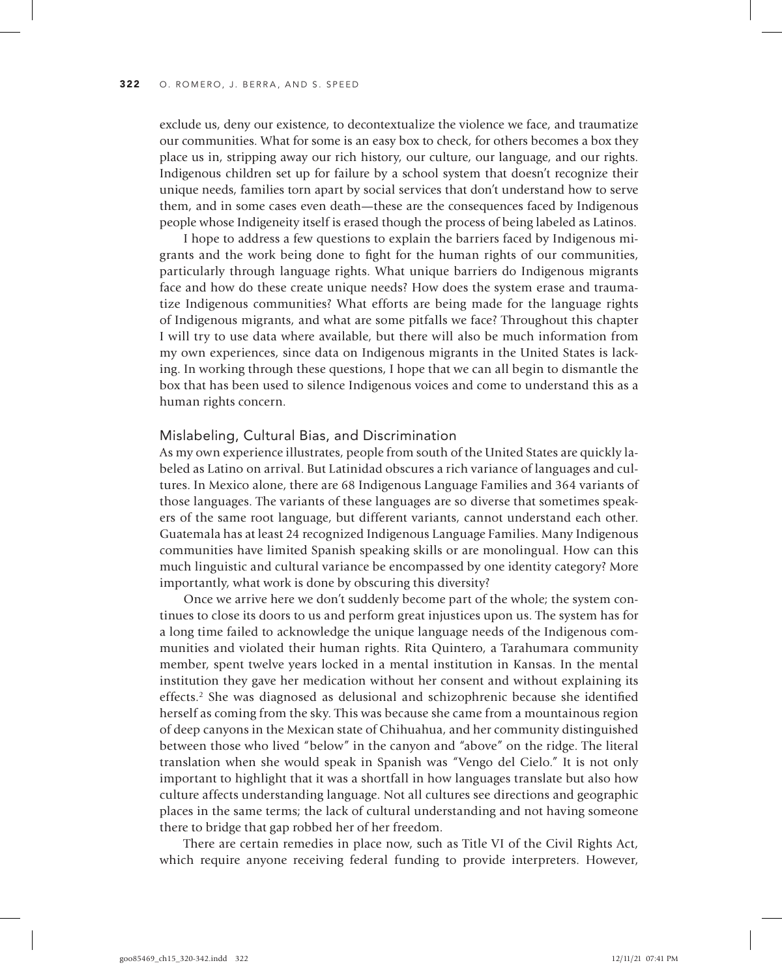exclude us, deny our existence, to decontextualize the violence we face, and traumatize our communities. What for some is an easy box to check, for others becomes a box they place us in, stripping away our rich history, our culture, our language, and our rights. Indigenous children set up for failure by a school system that doesn't recognize their unique needs, families torn apart by social services that don't understand how to serve them, and in some cases even death—these are the consequences faced by Indigenous people whose Indigeneity itself is erased though the process of being labeled as Latinos.

I hope to address a few questions to explain the barriers faced by Indigenous migrants and the work being done to fight for the human rights of our communities, particularly through language rights. What unique barriers do Indigenous migrants face and how do these create unique needs? How does the system erase and traumatize Indigenous communities? What efforts are being made for the language rights of Indigenous migrants, and what are some pitfalls we face? Throughout this chapter I will try to use data where available, but there will also be much information from my own experiences, since data on Indigenous migrants in the United States is lacking. In working through these questions, I hope that we can all begin to dismantle the box that has been used to silence Indigenous voices and come to understand this as a human rights concern.

#### Mislabeling, Cultural Bias, and Discrimination

As my own experience illustrates, people from south of the United States are quickly labeled as Latino on arrival. But Latinidad obscures a rich variance of languages and cultures. In Mexico alone, there are 68 Indigenous Language Families and 364 variants of those languages. The variants of these languages are so diverse that sometimes speakers of the same root language, but different variants, cannot understand each other. Guatemala has at least 24 recognized Indigenous Language Families. Many Indigenous communities have limited Spanish speaking skills or are monolingual. How can this much linguistic and cultural variance be encompassed by one identity category? More importantly, what work is done by obscuring this diversity?

Once we arrive here we don't suddenly become part of the whole; the system continues to close its doors to us and perform great injustices upon us. The system has for a long time failed to acknowledge the unique language needs of the Indigenous communities and violated their human rights. Rita Quintero, a Tarahumara community member, spent twelve years locked in a mental institution in Kansas. In the mental institution they gave her medication without her consent and without explaining its effects.2 She was diagnosed as delusional and schizophrenic because she identified herself as coming from the sky. This was because she came from a mountainous region of deep canyons in the Mexican state of Chihuahua, and her community distinguished between those who lived "below" in the canyon and "above" on the ridge. The literal translation when she would speak in Spanish was "Vengo del Cielo." It is not only important to highlight that it was a shortfall in how languages translate but also how culture affects understanding language. Not all cultures see directions and geographic places in the same terms; the lack of cultural understanding and not having someone there to bridge that gap robbed her of her freedom.

There are certain remedies in place now, such as Title VI of the Civil Rights Act, which require anyone receiving federal funding to provide interpreters. However,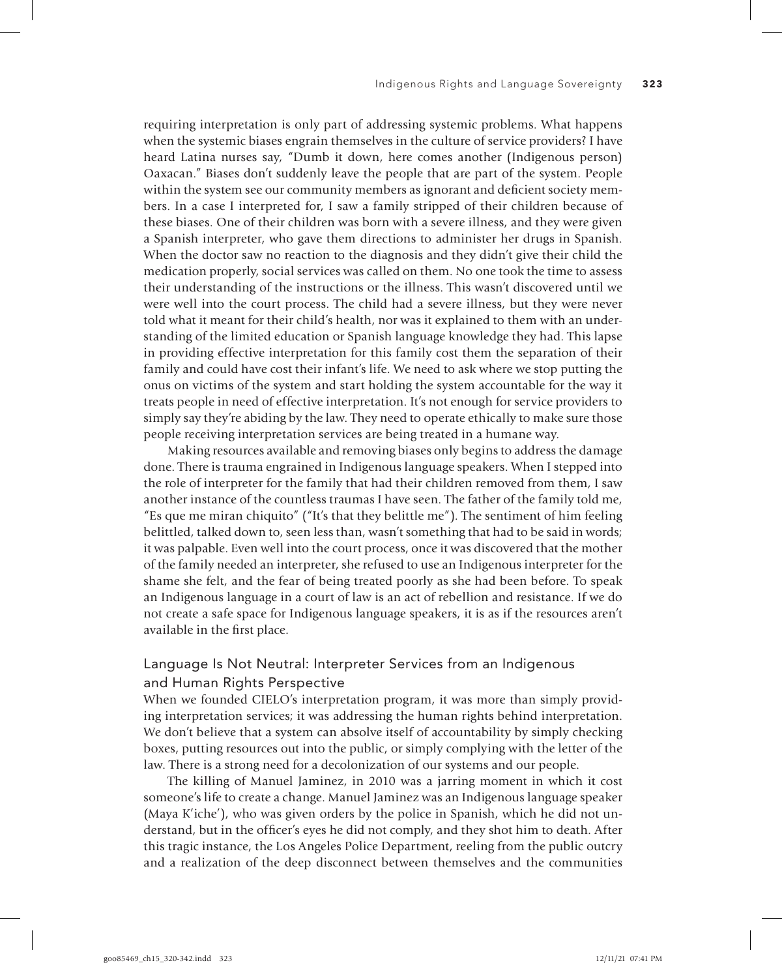requiring interpretation is only part of addressing systemic problems. What happens when the systemic biases engrain themselves in the culture of service providers? I have heard Latina nurses say, "Dumb it down, here comes another (Indigenous person) Oaxacan." Biases don't suddenly leave the people that are part of the system. People within the system see our community members as ignorant and deficient society members. In a case I interpreted for, I saw a family stripped of their children because of these biases. One of their children was born with a severe illness, and they were given a Spanish interpreter, who gave them directions to administer her drugs in Spanish. When the doctor saw no reaction to the diagnosis and they didn't give their child the medication properly, social services was called on them. No one took the time to assess their understanding of the instructions or the illness. This wasn't discovered until we were well into the court process. The child had a severe illness, but they were never told what it meant for their child's health, nor was it explained to them with an understanding of the limited education or Spanish language knowledge they had. This lapse in providing effective interpretation for this family cost them the separation of their family and could have cost their infant's life. We need to ask where we stop putting the onus on victims of the system and start holding the system accountable for the way it treats people in need of effective interpretation. It's not enough for service providers to simply say they're abiding by the law. They need to operate ethically to make sure those people receiving interpretation services are being treated in a humane way.

Making resources available and removing biases only begins to address the damage done. There is trauma engrained in Indigenous language speakers. When I stepped into the role of interpreter for the family that had their children removed from them, I saw another instance of the countless traumas I have seen. The father of the family told me, "Es que me miran chiquito" ("It's that they belittle me"). The sentiment of him feeling belittled, talked down to, seen less than, wasn't something that had to be said in words; it was palpable. Even well into the court process, once it was discovered that the mother of the family needed an interpreter, she refused to use an Indigenous interpreter for the shame she felt, and the fear of being treated poorly as she had been before. To speak an Indigenous language in a court of law is an act of rebellion and resistance. If we do not create a safe space for Indigenous language speakers, it is as if the resources aren't available in the first place.

# Language Is Not Neutral: Interpreter Services from an Indigenous and Human Rights Perspective

When we founded CIELO's interpretation program, it was more than simply providing interpretation services; it was addressing the human rights behind interpretation. We don't believe that a system can absolve itself of accountability by simply checking boxes, putting resources out into the public, or simply complying with the letter of the law. There is a strong need for a decolonization of our systems and our people.

The killing of Manuel Jaminez, in 2010 was a jarring moment in which it cost someone's life to create a change. Manuel Jaminez was an Indigenous language speaker (Maya K'iche'), who was given orders by the police in Spanish, which he did not understand, but in the officer's eyes he did not comply, and they shot him to death. After this tragic instance, the Los Angeles Police Department, reeling from the public outcry and a realization of the deep disconnect between themselves and the communities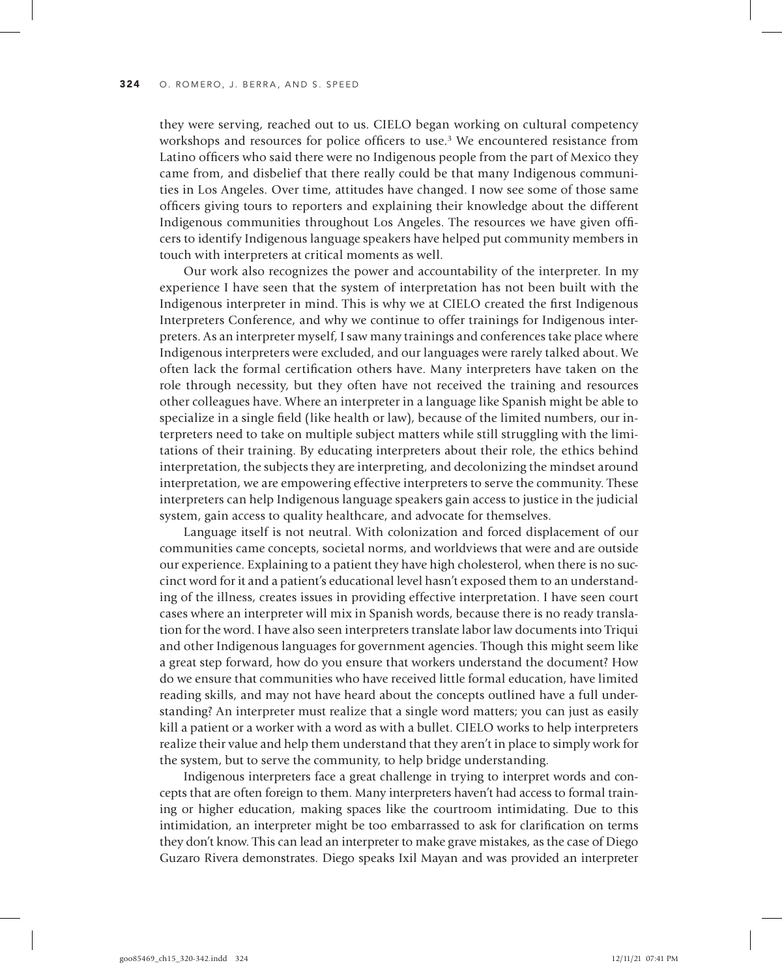they were serving, reached out to us. CIELO began working on cultural competency workshops and resources for police officers to use.<sup>3</sup> We encountered resistance from Latino officers who said there were no Indigenous people from the part of Mexico they came from, and disbelief that there really could be that many Indigenous communities in Los Angeles. Over time, attitudes have changed. I now see some of those same officers giving tours to reporters and explaining their knowledge about the different Indigenous communities throughout Los Angeles. The resources we have given officers to identify Indigenous language speakers have helped put community members in touch with interpreters at critical moments as well.

Our work also recognizes the power and accountability of the interpreter. In my experience I have seen that the system of interpretation has not been built with the Indigenous interpreter in mind. This is why we at CIELO created the first Indigenous Interpreters Conference, and why we continue to offer trainings for Indigenous interpreters. As an interpreter myself, I saw many trainings and conferences take place where Indigenous interpreters were excluded, and our languages were rarely talked about. We often lack the formal certification others have. Many interpreters have taken on the role through necessity, but they often have not received the training and resources other colleagues have. Where an interpreter in a language like Spanish might be able to specialize in a single field (like health or law), because of the limited numbers, our interpreters need to take on multiple subject matters while still struggling with the limitations of their training. By educating interpreters about their role, the ethics behind interpretation, the subjects they are interpreting, and decolonizing the mindset around interpretation, we are empowering effective interpreters to serve the community. These interpreters can help Indigenous language speakers gain access to justice in the judicial system, gain access to quality healthcare, and advocate for themselves.

Language itself is not neutral. With colonization and forced displacement of our communities came concepts, societal norms, and worldviews that were and are outside our experience. Explaining to a patient they have high cholesterol, when there is no succinct word for it and a patient's educational level hasn't exposed them to an understanding of the illness, creates issues in providing effective interpretation. I have seen court cases where an interpreter will mix in Spanish words, because there is no ready translation for the word. I have also seen interpreters translate labor law documents into Triqui and other Indigenous languages for government agencies. Though this might seem like a great step forward, how do you ensure that workers understand the document? How do we ensure that communities who have received little formal education, have limited reading skills, and may not have heard about the concepts outlined have a full understanding? An interpreter must realize that a single word matters; you can just as easily kill a patient or a worker with a word as with a bullet. CIELO works to help interpreters realize their value and help them understand that they aren't in place to simply work for the system, but to serve the community, to help bridge understanding.

Indigenous interpreters face a great challenge in trying to interpret words and concepts that are often foreign to them. Many interpreters haven't had access to formal training or higher education, making spaces like the courtroom intimidating. Due to this intimidation, an interpreter might be too embarrassed to ask for clarification on terms they don't know. This can lead an interpreter to make grave mistakes, as the case of Diego Guzaro Rivera demonstrates. Diego speaks Ixil Mayan and was provided an interpreter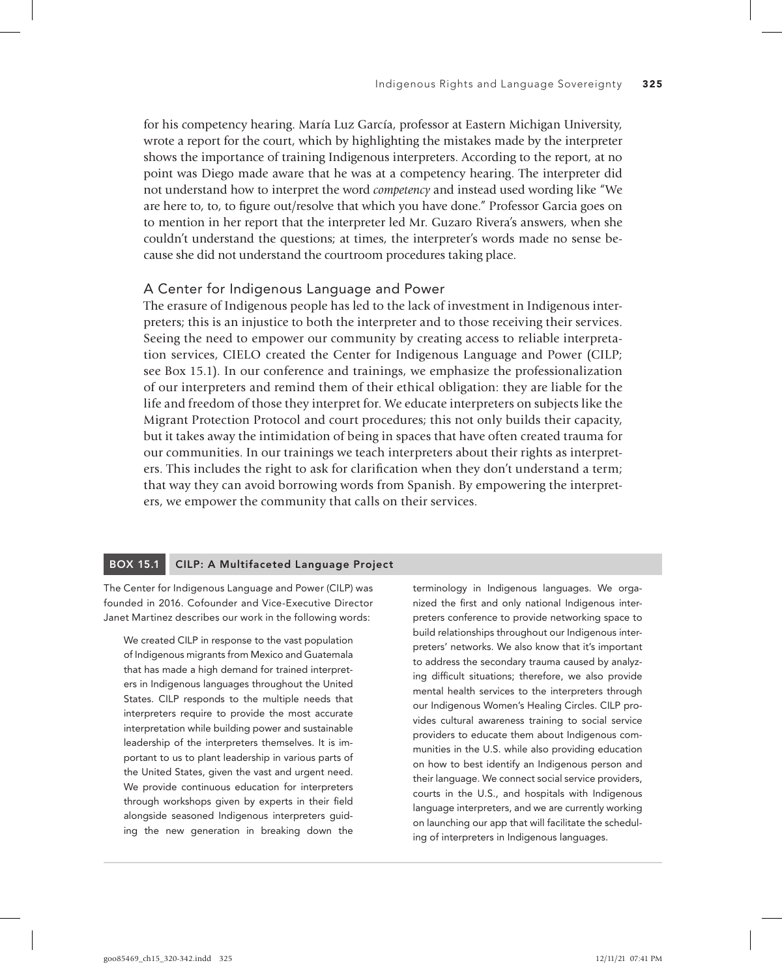for his competency hearing. María Luz García, professor at Eastern Michigan University, wrote a report for the court, which by highlighting the mistakes made by the interpreter shows the importance of training Indigenous interpreters. According to the report, at no point was Diego made aware that he was at a competency hearing. The interpreter did not understand how to interpret the word *competency* and instead used wording like "We are here to, to, to figure out/resolve that which you have done." Professor Garcia goes on to mention in her report that the interpreter led Mr. Guzaro Rivera's answers, when she couldn't understand the questions; at times, the interpreter's words made no sense because she did not understand the courtroom procedures taking place.

#### A Center for Indigenous Language and Power

The erasure of Indigenous people has led to the lack of investment in Indigenous interpreters; this is an injustice to both the interpreter and to those receiving their services. Seeing the need to empower our community by creating access to reliable interpretation services, CIELO created the Center for Indigenous Language and Power (CILP; see Box 15.1). In our conference and trainings, we emphasize the professionalization of our interpreters and remind them of their ethical obligation: they are liable for the life and freedom of those they interpret for. We educate interpreters on subjects like the Migrant Protection Protocol and court procedures; this not only builds their capacity, but it takes away the intimidation of being in spaces that have often created trauma for our communities. In our trainings we teach interpreters about their rights as interpreters. This includes the right to ask for clarification when they don't understand a term; that way they can avoid borrowing words from Spanish. By empowering the interpreters, we empower the community that calls on their services.

#### BOX 15.1 CILP: A Multifaceted Language Project

The Center for Indigenous Language and Power (CILP) was founded in 2016. Cofounder and Vice-Executive Director Janet Martinez describes our work in the following words:

We created CILP in response to the vast population of Indigenous migrants from Mexico and Guatemala that has made a high demand for trained interpreters in Indigenous languages throughout the United States. CILP responds to the multiple needs that interpreters require to provide the most accurate interpretation while building power and sustainable leadership of the interpreters themselves. It is important to us to plant leadership in various parts of the United States, given the vast and urgent need. We provide continuous education for interpreters through workshops given by experts in their field alongside seasoned Indigenous interpreters guiding the new generation in breaking down the

terminology in Indigenous languages. We organized the first and only national Indigenous interpreters conference to provide networking space to build relationships throughout our Indigenous interpreters' networks. We also know that it's important to address the secondary trauma caused by analyzing difficult situations; therefore, we also provide mental health services to the interpreters through our Indigenous Women's Healing Circles. CILP provides cultural awareness training to social service providers to educate them about Indigenous communities in the U.S. while also providing education on how to best identify an Indigenous person and their language. We connect social service providers, courts in the U.S., and hospitals with Indigenous language interpreters, and we are currently working on launching our app that will facilitate the scheduling of interpreters in Indigenous languages.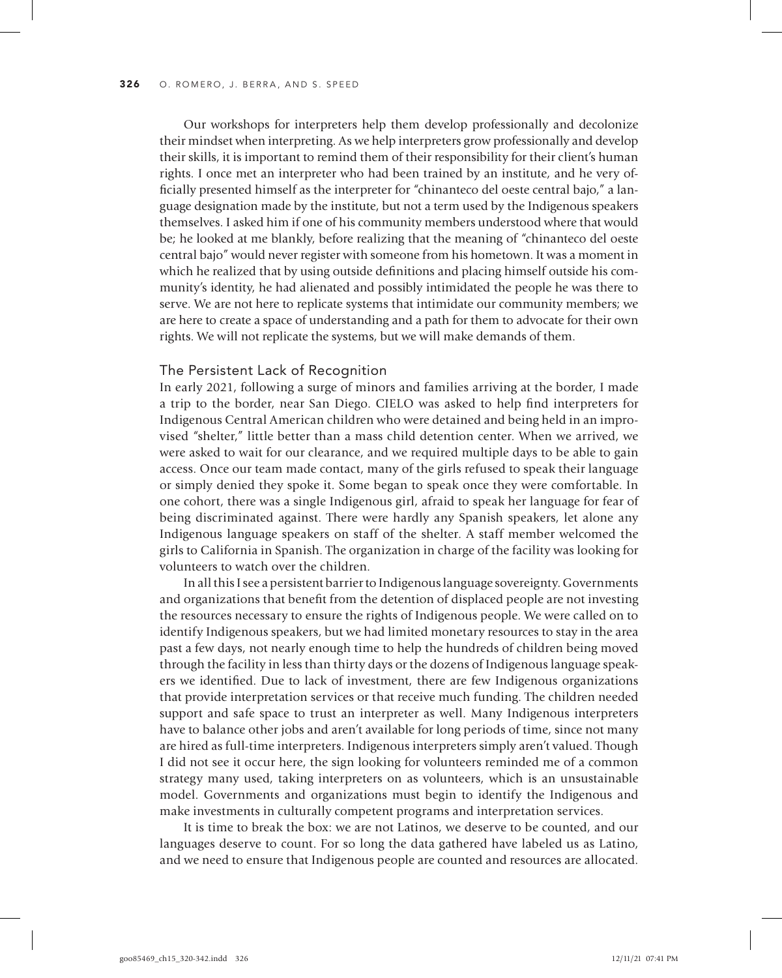Our workshops for interpreters help them develop professionally and decolonize their mindset when interpreting. As we help interpreters grow professionally and develop their skills, it is important to remind them of their responsibility for their client's human rights. I once met an interpreter who had been trained by an institute, and he very officially presented himself as the interpreter for "chinanteco del oeste central bajo," a language designation made by the institute, but not a term used by the Indigenous speakers themselves. I asked him if one of his community members understood where that would be; he looked at me blankly, before realizing that the meaning of "chinanteco del oeste central bajo" would never register with someone from his hometown. It was a moment in which he realized that by using outside definitions and placing himself outside his community's identity, he had alienated and possibly intimidated the people he was there to serve. We are not here to replicate systems that intimidate our community members; we are here to create a space of understanding and a path for them to advocate for their own rights. We will not replicate the systems, but we will make demands of them.

#### The Persistent Lack of Recognition

In early 2021, following a surge of minors and families arriving at the border, I made a trip to the border, near San Diego. CIELO was asked to help find interpreters for Indigenous Central American children who were detained and being held in an improvised "shelter," little better than a mass child detention center. When we arrived, we were asked to wait for our clearance, and we required multiple days to be able to gain access. Once our team made contact, many of the girls refused to speak their language or simply denied they spoke it. Some began to speak once they were comfortable. In one cohort, there was a single Indigenous girl, afraid to speak her language for fear of being discriminated against. There were hardly any Spanish speakers, let alone any Indigenous language speakers on staff of the shelter. A staff member welcomed the girls to California in Spanish. The organization in charge of the facility was looking for volunteers to watch over the children.

In all this I see a persistent barrier to Indigenous language sovereignty. Governments and organizations that benefit from the detention of displaced people are not investing the resources necessary to ensure the rights of Indigenous people. We were called on to identify Indigenous speakers, but we had limited monetary resources to stay in the area past a few days, not nearly enough time to help the hundreds of children being moved through the facility in less than thirty days or the dozens of Indigenous language speakers we identified. Due to lack of investment, there are few Indigenous organizations that provide interpretation services or that receive much funding. The children needed support and safe space to trust an interpreter as well. Many Indigenous interpreters have to balance other jobs and aren't available for long periods of time, since not many are hired as full-time interpreters. Indigenous interpreters simply aren't valued. Though I did not see it occur here, the sign looking for volunteers reminded me of a common strategy many used, taking interpreters on as volunteers, which is an unsustainable model. Governments and organizations must begin to identify the Indigenous and make investments in culturally competent programs and interpretation services.

It is time to break the box: we are not Latinos, we deserve to be counted, and our languages deserve to count. For so long the data gathered have labeled us as Latino, and we need to ensure that Indigenous people are counted and resources are allocated.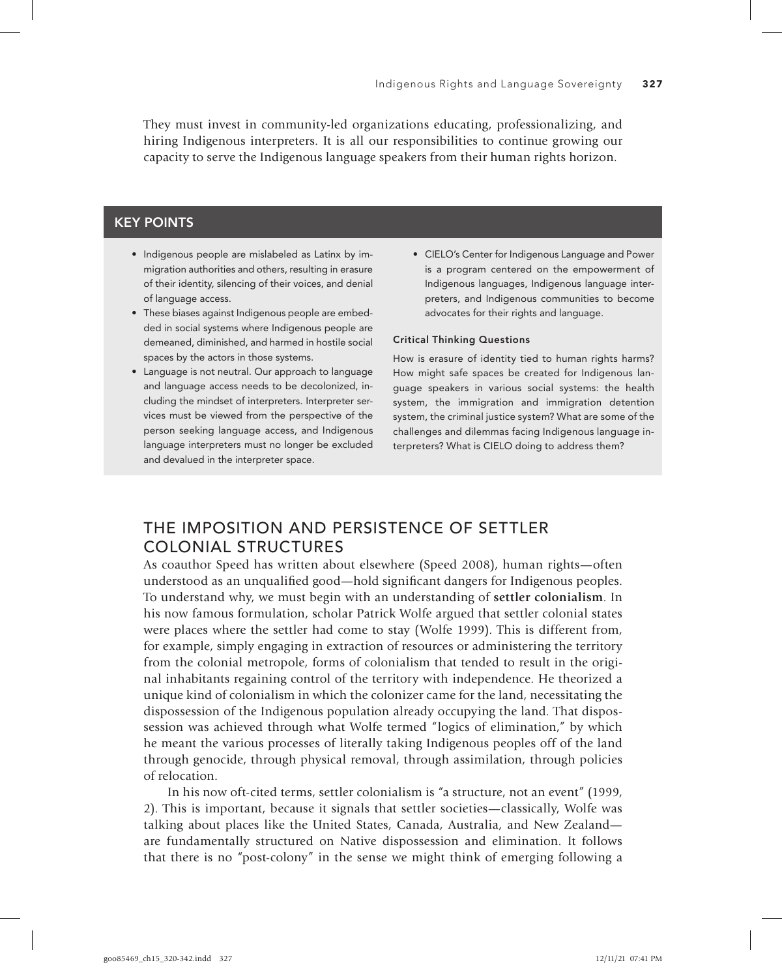They must invest in community-led organizations educating, professionalizing, and hiring Indigenous interpreters. It is all our responsibilities to continue growing our capacity to serve the Indigenous language speakers from their human rights horizon.

# KEY POINTS

- Indigenous people are mislabeled as Latinx by immigration authorities and others, resulting in erasure of their identity, silencing of their voices, and denial of language access.
- These biases against Indigenous people are embedded in social systems where Indigenous people are demeaned, diminished, and harmed in hostile social spaces by the actors in those systems.
- Language is not neutral. Our approach to language and language access needs to be decolonized, including the mindset of interpreters. Interpreter services must be viewed from the perspective of the person seeking language access, and Indigenous language interpreters must no longer be excluded and devalued in the interpreter space.
- CIELO's Center for Indigenous Language and Power is a program centered on the empowerment of Indigenous languages, Indigenous language interpreters, and Indigenous communities to become advocates for their rights and language.

#### Critical Thinking Questions

How is erasure of identity tied to human rights harms? How might safe spaces be created for Indigenous language speakers in various social systems: the health system, the immigration and immigration detention system, the criminal justice system? What are some of the challenges and dilemmas facing Indigenous language interpreters? What is CIELO doing to address them?

# THE IMPOSITION AND PERSISTENCE OF SETTLER COLONIAL STRUCTURES

As coauthor Speed has written about elsewhere (Speed 2008), human rights—often understood as an unqualified good—hold significant dangers for Indigenous peoples. To understand why, we must begin with an understanding of **settler colonialism**. In his now famous formulation, scholar Patrick Wolfe argued that settler colonial states were places where the settler had come to stay (Wolfe 1999). This is different from, for example, simply engaging in extraction of resources or administering the territory from the colonial metropole, forms of colonialism that tended to result in the original inhabitants regaining control of the territory with independence. He theorized a unique kind of colonialism in which the colonizer came for the land, necessitating the dispossession of the Indigenous population already occupying the land. That dispossession was achieved through what Wolfe termed "logics of elimination," by which he meant the various processes of literally taking Indigenous peoples off of the land through genocide, through physical removal, through assimilation, through policies of relocation.

In his now oft-cited terms, settler colonialism is "a structure, not an event" (1999, 2). This is important, because it signals that settler societies—classically, Wolfe was talking about places like the United States, Canada, Australia, and New Zealand are fundamentally structured on Native dispossession and elimination. It follows that there is no "post-colony" in the sense we might think of emerging following a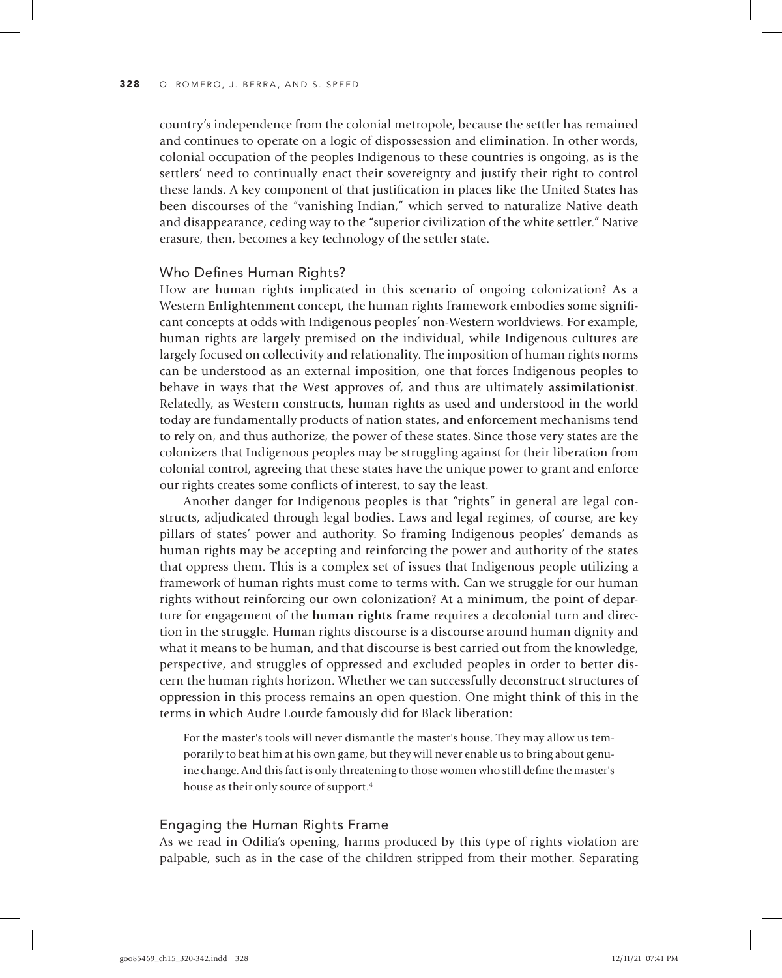country's independence from the colonial metropole, because the settler has remained and continues to operate on a logic of dispossession and elimination. In other words, colonial occupation of the peoples Indigenous to these countries is ongoing, as is the settlers' need to continually enact their sovereignty and justify their right to control these lands. A key component of that justification in places like the United States has been discourses of the "vanishing Indian," which served to naturalize Native death and disappearance, ceding way to the "superior civilization of the white settler." Native erasure, then, becomes a key technology of the settler state.

#### Who Defines Human Rights?

How are human rights implicated in this scenario of ongoing colonization? As a Western **Enlightenment** concept, the human rights framework embodies some significant concepts at odds with Indigenous peoples' non-Western worldviews. For example, human rights are largely premised on the individual, while Indigenous cultures are largely focused on collectivity and relationality. The imposition of human rights norms can be understood as an external imposition, one that forces Indigenous peoples to behave in ways that the West approves of, and thus are ultimately **assimilationist**. Relatedly, as Western constructs, human rights as used and understood in the world today are fundamentally products of nation states, and enforcement mechanisms tend to rely on, and thus authorize, the power of these states. Since those very states are the colonizers that Indigenous peoples may be struggling against for their liberation from colonial control, agreeing that these states have the unique power to grant and enforce our rights creates some conflicts of interest, to say the least.

Another danger for Indigenous peoples is that "rights" in general are legal constructs, adjudicated through legal bodies. Laws and legal regimes, of course, are key pillars of states' power and authority. So framing Indigenous peoples' demands as human rights may be accepting and reinforcing the power and authority of the states that oppress them. This is a complex set of issues that Indigenous people utilizing a framework of human rights must come to terms with. Can we struggle for our human rights without reinforcing our own colonization? At a minimum, the point of departure for engagement of the **human rights frame** requires a decolonial turn and direction in the struggle. Human rights discourse is a discourse around human dignity and what it means to be human, and that discourse is best carried out from the knowledge, perspective, and struggles of oppressed and excluded peoples in order to better discern the human rights horizon. Whether we can successfully deconstruct structures of oppression in this process remains an open question. One might think of this in the terms in which Audre Lourde famously did for Black liberation:

For the master's tools will never dismantle the master's house. They may allow us temporarily to beat him at his own game, but they will never enable us to bring about genuine change. And this fact is only threatening to those women who still define the master's house as their only source of support.<sup>4</sup>

#### Engaging the Human Rights Frame

As we read in Odilia's opening, harms produced by this type of rights violation are palpable, such as in the case of the children stripped from their mother. Separating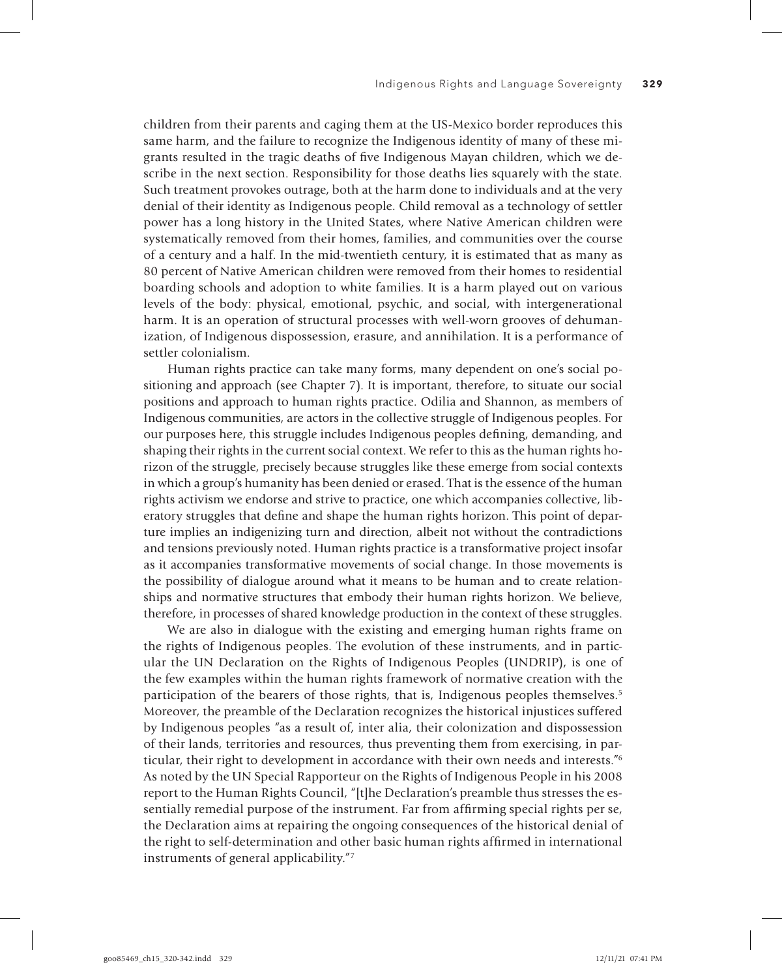children from their parents and caging them at the US-Mexico border reproduces this same harm, and the failure to recognize the Indigenous identity of many of these migrants resulted in the tragic deaths of five Indigenous Mayan children, which we describe in the next section. Responsibility for those deaths lies squarely with the state. Such treatment provokes outrage, both at the harm done to individuals and at the very denial of their identity as Indigenous people. Child removal as a technology of settler power has a long history in the United States, where Native American children were systematically removed from their homes, families, and communities over the course of a century and a half. In the mid-twentieth century, it is estimated that as many as 80 percent of Native American children were removed from their homes to residential boarding schools and adoption to white families. It is a harm played out on various levels of the body: physical, emotional, psychic, and social, with intergenerational harm. It is an operation of structural processes with well-worn grooves of dehumanization, of Indigenous dispossession, erasure, and annihilation. It is a performance of settler colonialism.

Human rights practice can take many forms, many dependent on one's social positioning and approach (see Chapter 7). It is important, therefore, to situate our social positions and approach to human rights practice. Odilia and Shannon, as members of Indigenous communities, are actors in the collective struggle of Indigenous peoples. For our purposes here, this struggle includes Indigenous peoples defining, demanding, and shaping their rights in the current social context. We refer to this as the human rights horizon of the struggle, precisely because struggles like these emerge from social contexts in which a group's humanity has been denied or erased. That is the essence of the human rights activism we endorse and strive to practice, one which accompanies collective, liberatory struggles that define and shape the human rights horizon. This point of departure implies an indigenizing turn and direction, albeit not without the contradictions and tensions previously noted. Human rights practice is a transformative project insofar as it accompanies transformative movements of social change. In those movements is the possibility of dialogue around what it means to be human and to create relationships and normative structures that embody their human rights horizon. We believe, therefore, in processes of shared knowledge production in the context of these struggles.

We are also in dialogue with the existing and emerging human rights frame on the rights of Indigenous peoples. The evolution of these instruments, and in particular the UN Declaration on the Rights of Indigenous Peoples (UNDRIP), is one of the few examples within the human rights framework of normative creation with the participation of the bearers of those rights, that is, Indigenous peoples themselves.<sup>5</sup> Moreover, the preamble of the Declaration recognizes the historical injustices suffered by Indigenous peoples "as a result of, inter alia, their colonization and dispossession of their lands, territories and resources, thus preventing them from exercising, in particular, their right to development in accordance with their own needs and interests."6 As noted by the UN Special Rapporteur on the Rights of Indigenous People in his 2008 report to the Human Rights Council, "[t]he Declaration's preamble thus stresses the essentially remedial purpose of the instrument. Far from affirming special rights per se, the Declaration aims at repairing the ongoing consequences of the historical denial of the right to self-determination and other basic human rights affirmed in international instruments of general applicability."7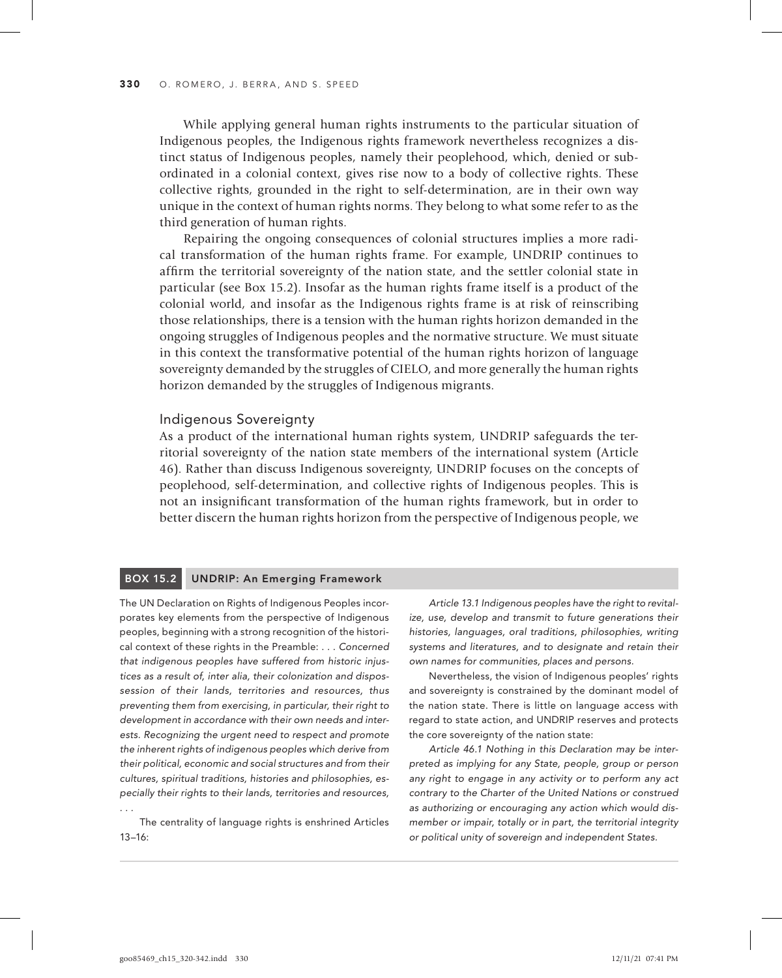While applying general human rights instruments to the particular situation of Indigenous peoples, the Indigenous rights framework nevertheless recognizes a distinct status of Indigenous peoples, namely their peoplehood, which, denied or subordinated in a colonial context, gives rise now to a body of collective rights. These collective rights, grounded in the right to self-determination, are in their own way unique in the context of human rights norms. They belong to what some refer to as the third generation of human rights.

Repairing the ongoing consequences of colonial structures implies a more radical transformation of the human rights frame. For example, UNDRIP continues to affirm the territorial sovereignty of the nation state, and the settler colonial state in particular (see Box 15.2). Insofar as the human rights frame itself is a product of the colonial world, and insofar as the Indigenous rights frame is at risk of reinscribing those relationships, there is a tension with the human rights horizon demanded in the ongoing struggles of Indigenous peoples and the normative structure. We must situate in this context the transformative potential of the human rights horizon of language sovereignty demanded by the struggles of CIELO, and more generally the human rights horizon demanded by the struggles of Indigenous migrants.

#### Indigenous Sovereignty

As a product of the international human rights system, UNDRIP safeguards the territorial sovereignty of the nation state members of the international system (Article 46). Rather than discuss Indigenous sovereignty, UNDRIP focuses on the concepts of peoplehood, self-determination, and collective rights of Indigenous peoples. This is not an insignificant transformation of the human rights framework, but in order to better discern the human rights horizon from the perspective of Indigenous people, we

#### BOX 15.2 UNDRIP: An Emerging Framework

The UN Declaration on Rights of Indigenous Peoples incorporates key elements from the perspective of Indigenous peoples, beginning with a strong recognition of the historical context of these rights in the Preamble: . . . *Concerned that indigenous peoples have suffered from historic injustices as a result of, inter alia, their colonization and dispossession of their lands, territories and resources, thus preventing them from exercising, in particular, their right to development in accordance with their own needs and interests. Recognizing the urgent need to respect and promote the inherent rights of indigenous peoples which derive from their political, economic and social structures and from their cultures, spiritual traditions, histories and philosophies, especially their rights to their lands, territories and resources,* 

The centrality of language rights is enshrined Articles  $13-16$ 

*Article 13.1 Indigenous peoples have the right to revitalize, use, develop and transmit to future generations their histories, languages, oral traditions, philosophies, writing systems and literatures, and to designate and retain their own names for communities, places and persons.*

Nevertheless, the vision of Indigenous peoples' rights and sovereignty is constrained by the dominant model of the nation state. There is little on language access with regard to state action, and UNDRIP reserves and protects the core sovereignty of the nation state:

*Article 46.1 Nothing in this Declaration may be interpreted as implying for any State, people, group or person any right to engage in any activity or to perform any act contrary to the Charter of the United Nations or construed as authorizing or encouraging any action which would dismember or impair, totally or in part, the territorial integrity or political unity of sovereign and independent States.*

*. . .*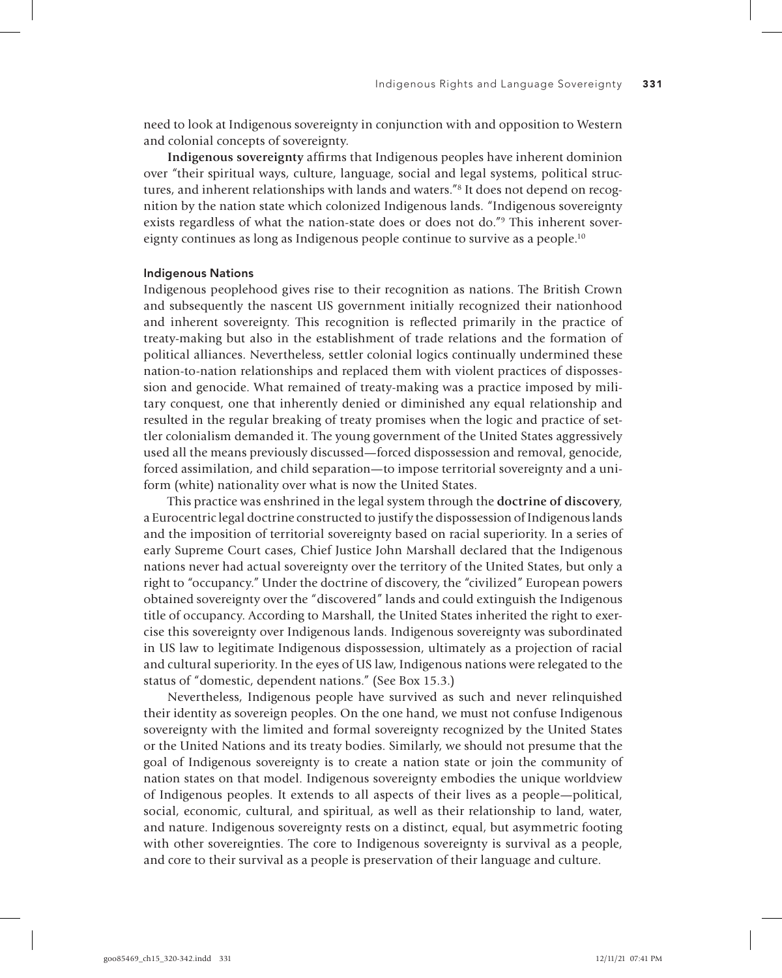need to look at Indigenous sovereignty in conjunction with and opposition to Western and colonial concepts of sovereignty.

**Indigenous sovereignty** affirms that Indigenous peoples have inherent dominion over "their spiritual ways, culture, language, social and legal systems, political structures, and inherent relationships with lands and waters."8 It does not depend on recognition by the nation state which colonized Indigenous lands. "Indigenous sovereignty exists regardless of what the nation-state does or does not do."9 This inherent sovereignty continues as long as Indigenous people continue to survive as a people.<sup>10</sup>

#### Indigenous Nations

Indigenous peoplehood gives rise to their recognition as nations. The British Crown and subsequently the nascent US government initially recognized their nationhood and inherent sovereignty. This recognition is reflected primarily in the practice of treaty-making but also in the establishment of trade relations and the formation of political alliances. Nevertheless, settler colonial logics continually undermined these nation-to-nation relationships and replaced them with violent practices of dispossession and genocide. What remained of treaty-making was a practice imposed by military conquest, one that inherently denied or diminished any equal relationship and resulted in the regular breaking of treaty promises when the logic and practice of settler colonialism demanded it. The young government of the United States aggressively used all the means previously discussed—forced dispossession and removal, genocide, forced assimilation, and child separation—to impose territorial sovereignty and a uniform (white) nationality over what is now the United States.

This practice was enshrined in the legal system through the **doctrine of discovery**, a Eurocentric legal doctrine constructed to justify the dispossession of Indigenous lands and the imposition of territorial sovereignty based on racial superiority. In a series of early Supreme Court cases, Chief Justice John Marshall declared that the Indigenous nations never had actual sovereignty over the territory of the United States, but only a right to "occupancy." Under the doctrine of discovery, the "civilized" European powers obtained sovereignty over the "discovered" lands and could extinguish the Indigenous title of occupancy. According to Marshall, the United States inherited the right to exercise this sovereignty over Indigenous lands. Indigenous sovereignty was subordinated in US law to legitimate Indigenous dispossession, ultimately as a projection of racial and cultural superiority. In the eyes of US law, Indigenous nations were relegated to the status of "domestic, dependent nations." (See Box 15.3.)

Nevertheless, Indigenous people have survived as such and never relinquished their identity as sovereign peoples. On the one hand, we must not confuse Indigenous sovereignty with the limited and formal sovereignty recognized by the United States or the United Nations and its treaty bodies. Similarly, we should not presume that the goal of Indigenous sovereignty is to create a nation state or join the community of nation states on that model. Indigenous sovereignty embodies the unique worldview of Indigenous peoples. It extends to all aspects of their lives as a people—political, social, economic, cultural, and spiritual, as well as their relationship to land, water, and nature. Indigenous sovereignty rests on a distinct, equal, but asymmetric footing with other sovereignties. The core to Indigenous sovereignty is survival as a people, and core to their survival as a people is preservation of their language and culture.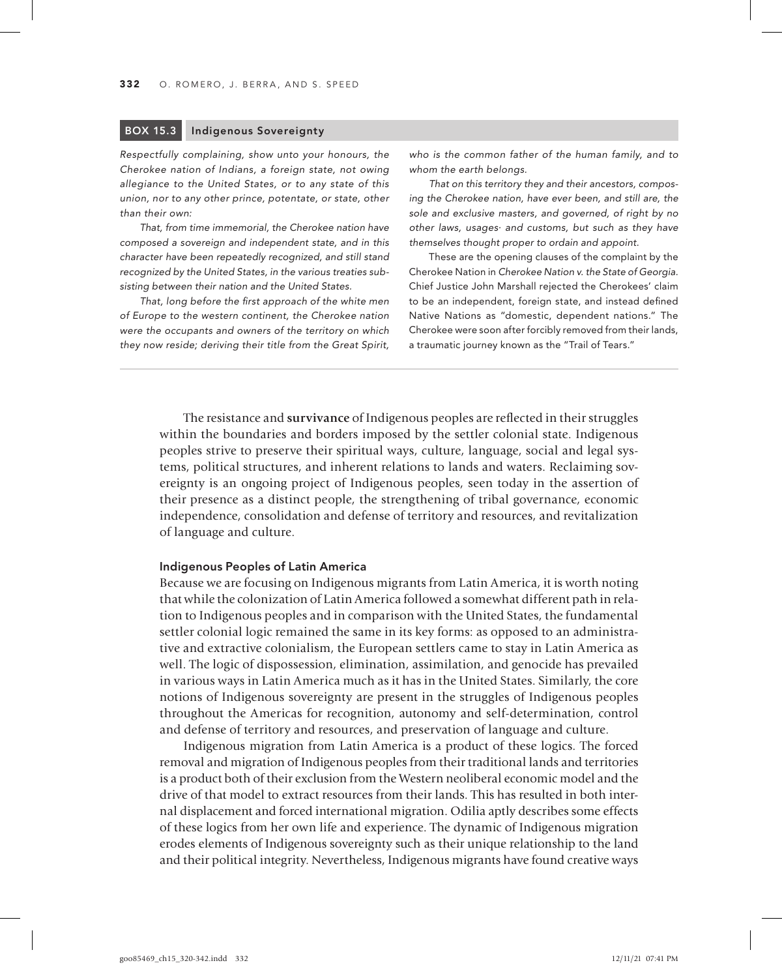#### BOX 15.3 Indigenous Sovereignty

*Respectfully complaining, show unto your honours, the Cherokee nation of Indians, a foreign state, not owing allegiance to the United States, or to any state of this union, nor to any other prince, potentate, or state, other than their own:*

*That, from time immemorial, the Cherokee nation have composed a sovereign and independent state, and in this character have been repeatedly recognized, and still stand recognized by the United States, in the various treaties subsisting between their nation and the United States.*

*That, long before the first approach of the white men of Europe to the western continent, the Cherokee nation were the occupants and owners of the territory on which they now reside; deriving their title from the Great Spirit,* 

*who is the common father of the human family, and to whom the earth belongs.*

*That on this territory they and their ancestors, composing the Cherokee nation, have ever been, and still are, the sole and exclusive masters, and governed, of right by no other laws, usages· and customs, but such as they have themselves thought proper to ordain and appoint.*

These are the opening clauses of the complaint by the Cherokee Nation in *Cherokee Nation v. the State of Georgia.* Chief Justice John Marshall rejected the Cherokees' claim to be an independent, foreign state, and instead defined Native Nations as "domestic, dependent nations." The Cherokee were soon after forcibly removed from their lands, a traumatic journey known as the "Trail of Tears."

The resistance and **survivance** of Indigenous peoples are reflected in their struggles within the boundaries and borders imposed by the settler colonial state. Indigenous peoples strive to preserve their spiritual ways, culture, language, social and legal systems, political structures, and inherent relations to lands and waters. Reclaiming sovereignty is an ongoing project of Indigenous peoples, seen today in the assertion of their presence as a distinct people, the strengthening of tribal governance, economic independence, consolidation and defense of territory and resources, and revitalization of language and culture.

#### Indigenous Peoples of Latin America

Because we are focusing on Indigenous migrants from Latin America, it is worth noting that while the colonization of Latin America followed a somewhat different path in relation to Indigenous peoples and in comparison with the United States, the fundamental settler colonial logic remained the same in its key forms: as opposed to an administrative and extractive colonialism, the European settlers came to stay in Latin America as well. The logic of dispossession, elimination, assimilation, and genocide has prevailed in various ways in Latin America much as it has in the United States. Similarly, the core notions of Indigenous sovereignty are present in the struggles of Indigenous peoples throughout the Americas for recognition, autonomy and self-determination, control and defense of territory and resources, and preservation of language and culture.

Indigenous migration from Latin America is a product of these logics. The forced removal and migration of Indigenous peoples from their traditional lands and territories is a product both of their exclusion from the Western neoliberal economic model and the drive of that model to extract resources from their lands. This has resulted in both internal displacement and forced international migration. Odilia aptly describes some effects of these logics from her own life and experience. The dynamic of Indigenous migration erodes elements of Indigenous sovereignty such as their unique relationship to the land and their political integrity. Nevertheless, Indigenous migrants have found creative ways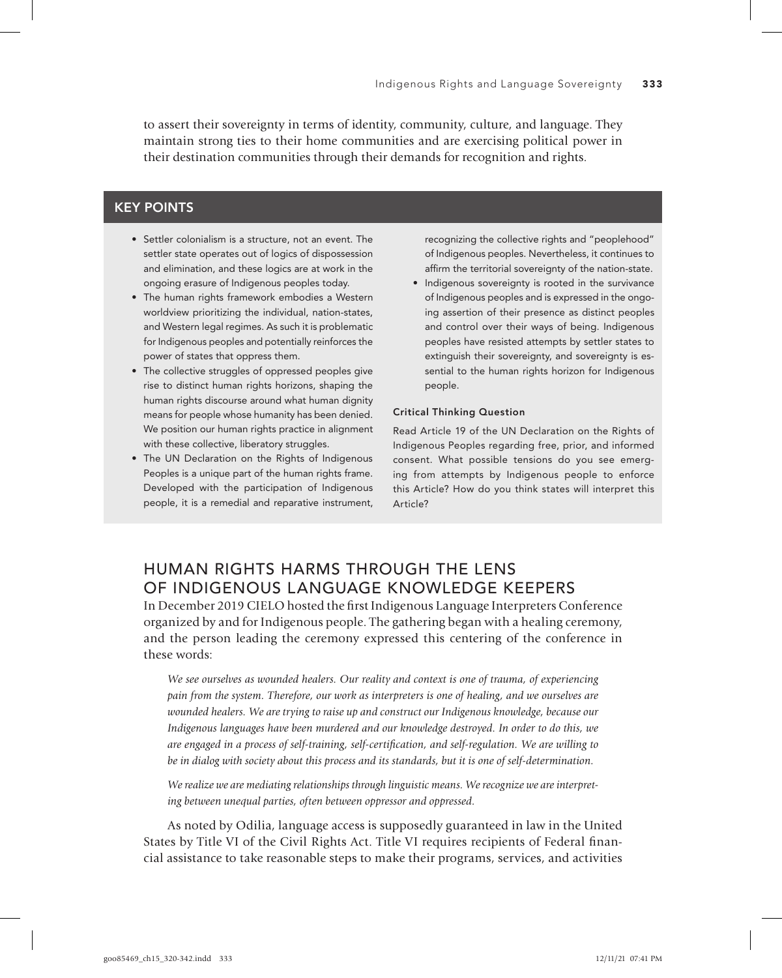to assert their sovereignty in terms of identity, community, culture, and language. They maintain strong ties to their home communities and are exercising political power in their destination communities through their demands for recognition and rights.

# KEY POINTS

- Settler colonialism is a structure, not an event. The settler state operates out of logics of dispossession and elimination, and these logics are at work in the ongoing erasure of Indigenous peoples today.
- The human rights framework embodies a Western worldview prioritizing the individual, nation-states, and Western legal regimes. As such it is problematic for Indigenous peoples and potentially reinforces the power of states that oppress them.
- The collective struggles of oppressed peoples give rise to distinct human rights horizons, shaping the human rights discourse around what human dignity means for people whose humanity has been denied. We position our human rights practice in alignment with these collective, liberatory struggles.
- The UN Declaration on the Rights of Indigenous Peoples is a unique part of the human rights frame. Developed with the participation of Indigenous people, it is a remedial and reparative instrument,

recognizing the collective rights and "peoplehood" of Indigenous peoples. Nevertheless, it continues to affirm the territorial sovereignty of the nation-state.

• Indigenous sovereignty is rooted in the survivance of Indigenous peoples and is expressed in the ongoing assertion of their presence as distinct peoples and control over their ways of being. Indigenous peoples have resisted attempts by settler states to extinguish their sovereignty, and sovereignty is essential to the human rights horizon for Indigenous people.

#### Critical Thinking Question

Read Article 19 of the UN Declaration on the Rights of Indigenous Peoples regarding free, prior, and informed consent. What possible tensions do you see emerging from attempts by Indigenous people to enforce this Article? How do you think states will interpret this Article?

# HUMAN RIGHTS HARMS THROUGH THE LENS OF INDIGENOUS LANGUAGE KNOWLEDGE KEEPERS

In December 2019 CIELO hosted the first Indigenous Language Interpreters Conference organized by and for Indigenous people. The gathering began with a healing ceremony, and the person leading the ceremony expressed this centering of the conference in these words:

*We see ourselves as wounded healers. Our reality and context is one of trauma, of experiencing pain from the system. Therefore, our work as interpreters is one of healing, and we ourselves are wounded healers. We are trying to raise up and construct our Indigenous knowledge, because our Indigenous languages have been murdered and our knowledge destroyed. In order to do this, we are engaged in a process of self-training, self-certification, and self-regulation. We are willing to be in dialog with society about this process and its standards, but it is one of self-determination.*

*We realize we are mediating relationships through linguistic means. We recognize we are interpreting between unequal parties, often between oppressor and oppressed.*

As noted by Odilia, language access is supposedly guaranteed in law in the United States by Title VI of the Civil Rights Act. Title VI requires recipients of Federal financial assistance to take reasonable steps to make their programs, services, and activities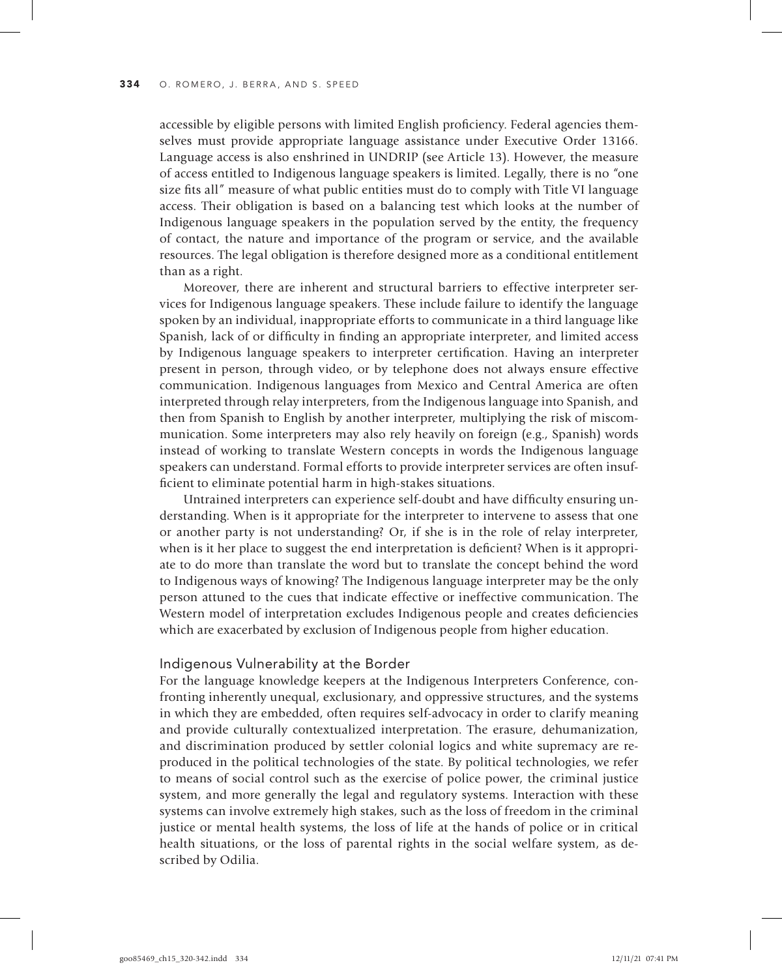accessible by eligible persons with limited English proficiency. Federal agencies themselves must provide appropriate language assistance under Executive Order 13166. Language access is also enshrined in UNDRIP (see Article 13). However, the measure of access entitled to Indigenous language speakers is limited. Legally, there is no "one size fits all" measure of what public entities must do to comply with Title VI language access. Their obligation is based on a balancing test which looks at the number of Indigenous language speakers in the population served by the entity, the frequency of contact, the nature and importance of the program or service, and the available resources. The legal obligation is therefore designed more as a conditional entitlement than as a right.

Moreover, there are inherent and structural barriers to effective interpreter services for Indigenous language speakers. These include failure to identify the language spoken by an individual, inappropriate efforts to communicate in a third language like Spanish, lack of or difficulty in finding an appropriate interpreter, and limited access by Indigenous language speakers to interpreter certification. Having an interpreter present in person, through video, or by telephone does not always ensure effective communication. Indigenous languages from Mexico and Central America are often interpreted through relay interpreters, from the Indigenous language into Spanish, and then from Spanish to English by another interpreter, multiplying the risk of miscommunication. Some interpreters may also rely heavily on foreign (e.g., Spanish) words instead of working to translate Western concepts in words the Indigenous language speakers can understand. Formal efforts to provide interpreter services are often insufficient to eliminate potential harm in high-stakes situations.

Untrained interpreters can experience self-doubt and have difficulty ensuring understanding. When is it appropriate for the interpreter to intervene to assess that one or another party is not understanding? Or, if she is in the role of relay interpreter, when is it her place to suggest the end interpretation is deficient? When is it appropriate to do more than translate the word but to translate the concept behind the word to Indigenous ways of knowing? The Indigenous language interpreter may be the only person attuned to the cues that indicate effective or ineffective communication. The Western model of interpretation excludes Indigenous people and creates deficiencies which are exacerbated by exclusion of Indigenous people from higher education.

#### Indigenous Vulnerability at the Border

For the language knowledge keepers at the Indigenous Interpreters Conference, confronting inherently unequal, exclusionary, and oppressive structures, and the systems in which they are embedded, often requires self-advocacy in order to clarify meaning and provide culturally contextualized interpretation. The erasure, dehumanization, and discrimination produced by settler colonial logics and white supremacy are reproduced in the political technologies of the state. By political technologies, we refer to means of social control such as the exercise of police power, the criminal justice system, and more generally the legal and regulatory systems. Interaction with these systems can involve extremely high stakes, such as the loss of freedom in the criminal justice or mental health systems, the loss of life at the hands of police or in critical health situations, or the loss of parental rights in the social welfare system, as described by Odilia.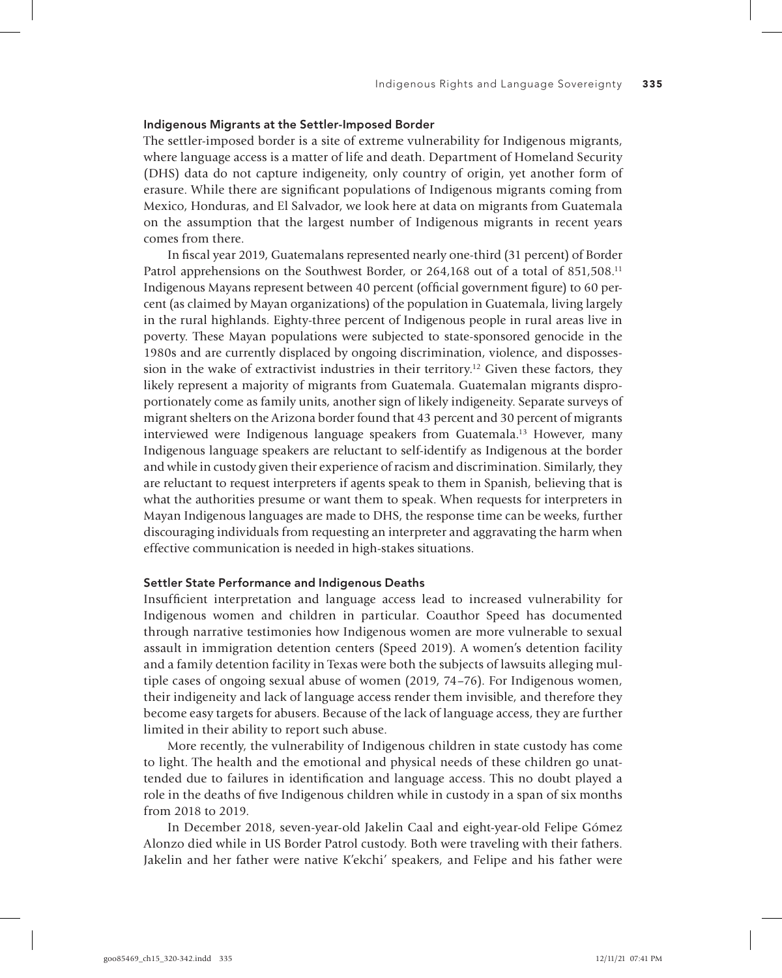#### Indigenous Migrants at the Settler-Imposed Border

The settler-imposed border is a site of extreme vulnerability for Indigenous migrants, where language access is a matter of life and death. Department of Homeland Security (DHS) data do not capture indigeneity, only country of origin, yet another form of erasure. While there are significant populations of Indigenous migrants coming from Mexico, Honduras, and El Salvador, we look here at data on migrants from Guatemala on the assumption that the largest number of Indigenous migrants in recent years comes from there.

In fiscal year 2019, Guatemalans represented nearly one-third (31 percent) of Border Patrol apprehensions on the Southwest Border, or 264,168 out of a total of 851,508.<sup>11</sup> Indigenous Mayans represent between 40 percent (official government figure) to 60 percent (as claimed by Mayan organizations) of the population in Guatemala, living largely in the rural highlands. Eighty-three percent of Indigenous people in rural areas live in poverty. These Mayan populations were subjected to state-sponsored genocide in the 1980s and are currently displaced by ongoing discrimination, violence, and dispossession in the wake of extractivist industries in their territory.<sup>12</sup> Given these factors, they likely represent a majority of migrants from Guatemala. Guatemalan migrants disproportionately come as family units, another sign of likely indigeneity. Separate surveys of migrant shelters on the Arizona border found that 43 percent and 30 percent of migrants interviewed were Indigenous language speakers from Guatemala.<sup>13</sup> However, many Indigenous language speakers are reluctant to self-identify as Indigenous at the border and while in custody given their experience of racism and discrimination. Similarly, they are reluctant to request interpreters if agents speak to them in Spanish, believing that is what the authorities presume or want them to speak. When requests for interpreters in Mayan Indigenous languages are made to DHS, the response time can be weeks, further discouraging individuals from requesting an interpreter and aggravating the harm when effective communication is needed in high-stakes situations.

#### Settler State Performance and Indigenous Deaths

Insufficient interpretation and language access lead to increased vulnerability for Indigenous women and children in particular. Coauthor Speed has documented through narrative testimonies how Indigenous women are more vulnerable to sexual assault in immigration detention centers (Speed 2019). A women's detention facility and a family detention facility in Texas were both the subjects of lawsuits alleging multiple cases of ongoing sexual abuse of women (2019, 74–76). For Indigenous women, their indigeneity and lack of language access render them invisible, and therefore they become easy targets for abusers. Because of the lack of language access, they are further limited in their ability to report such abuse.

More recently, the vulnerability of Indigenous children in state custody has come to light. The health and the emotional and physical needs of these children go unattended due to failures in identification and language access. This no doubt played a role in the deaths of five Indigenous children while in custody in a span of six months from 2018 to 2019.

In December 2018, seven-year-old Jakelin Caal and eight-year-old Felipe Gómez Alonzo died while in US Border Patrol custody. Both were traveling with their fathers. Jakelin and her father were native K'ekchi' speakers, and Felipe and his father were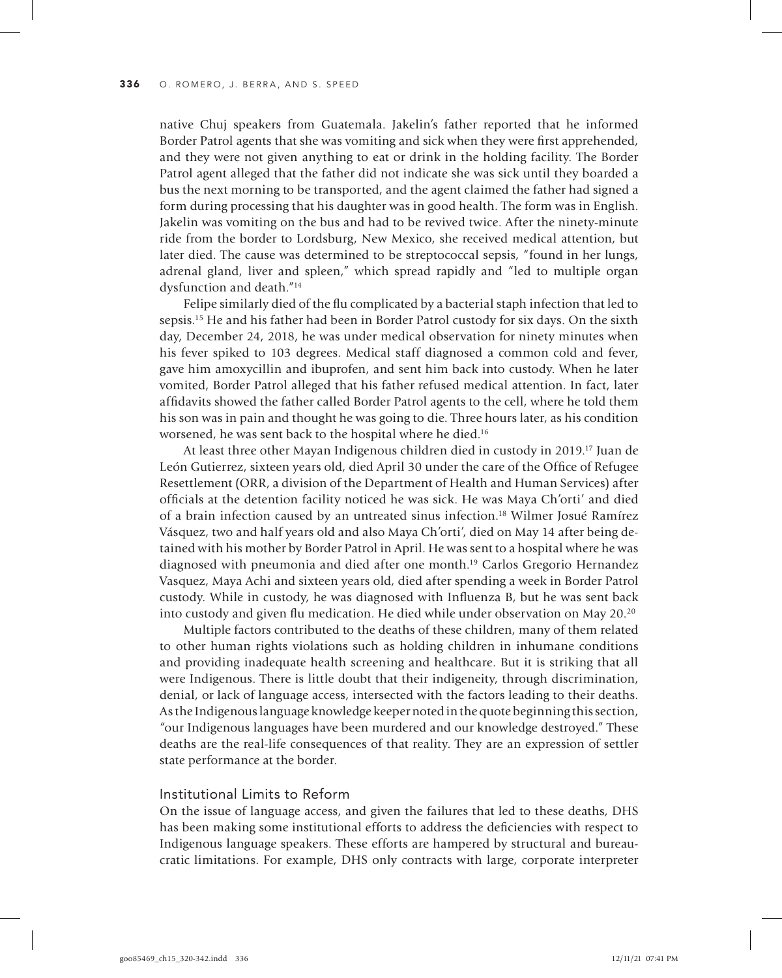native Chuj speakers from Guatemala. Jakelin's father reported that he informed Border Patrol agents that she was vomiting and sick when they were first apprehended, and they were not given anything to eat or drink in the holding facility. The Border Patrol agent alleged that the father did not indicate she was sick until they boarded a bus the next morning to be transported, and the agent claimed the father had signed a form during processing that his daughter was in good health. The form was in English. Jakelin was vomiting on the bus and had to be revived twice. After the ninety-minute ride from the border to Lordsburg, New Mexico, she received medical attention, but later died. The cause was determined to be streptococcal sepsis, "found in her lungs, adrenal gland, liver and spleen," which spread rapidly and "led to multiple organ dysfunction and death."14

Felipe similarly died of the flu complicated by a bacterial staph infection that led to sepsis.15 He and his father had been in Border Patrol custody for six days. On the sixth day, December 24, 2018, he was under medical observation for ninety minutes when his fever spiked to 103 degrees. Medical staff diagnosed a common cold and fever, gave him amoxycillin and ibuprofen, and sent him back into custody. When he later vomited, Border Patrol alleged that his father refused medical attention. In fact, later affidavits showed the father called Border Patrol agents to the cell, where he told them his son was in pain and thought he was going to die. Three hours later, as his condition worsened, he was sent back to the hospital where he died.16

At least three other Mayan Indigenous children died in custody in 2019.17 Juan de León Gutierrez, sixteen years old, died April 30 under the care of the Office of Refugee Resettlement (ORR, a division of the Department of Health and Human Services) after officials at the detention facility noticed he was sick. He was Maya Ch'orti' and died of a brain infection caused by an untreated sinus infection.18 Wilmer Josué Ramírez Vásquez, two and half years old and also Maya Ch'orti', died on May 14 after being detained with his mother by Border Patrol in April. He was sent to a hospital where he was diagnosed with pneumonia and died after one month.19 Carlos Gregorio Hernandez Vasquez, Maya Achi and sixteen years old, died after spending a week in Border Patrol custody. While in custody, he was diagnosed with Influenza B, but he was sent back into custody and given flu medication. He died while under observation on May 20.20

Multiple factors contributed to the deaths of these children, many of them related to other human rights violations such as holding children in inhumane conditions and providing inadequate health screening and healthcare. But it is striking that all were Indigenous. There is little doubt that their indigeneity, through discrimination, denial, or lack of language access, intersected with the factors leading to their deaths. As the Indigenous language knowledge keeper noted in the quote beginning this section, "our Indigenous languages have been murdered and our knowledge destroyed." These deaths are the real-life consequences of that reality. They are an expression of settler state performance at the border.

#### Institutional Limits to Reform

On the issue of language access, and given the failures that led to these deaths, DHS has been making some institutional efforts to address the deficiencies with respect to Indigenous language speakers. These efforts are hampered by structural and bureaucratic limitations. For example, DHS only contracts with large, corporate interpreter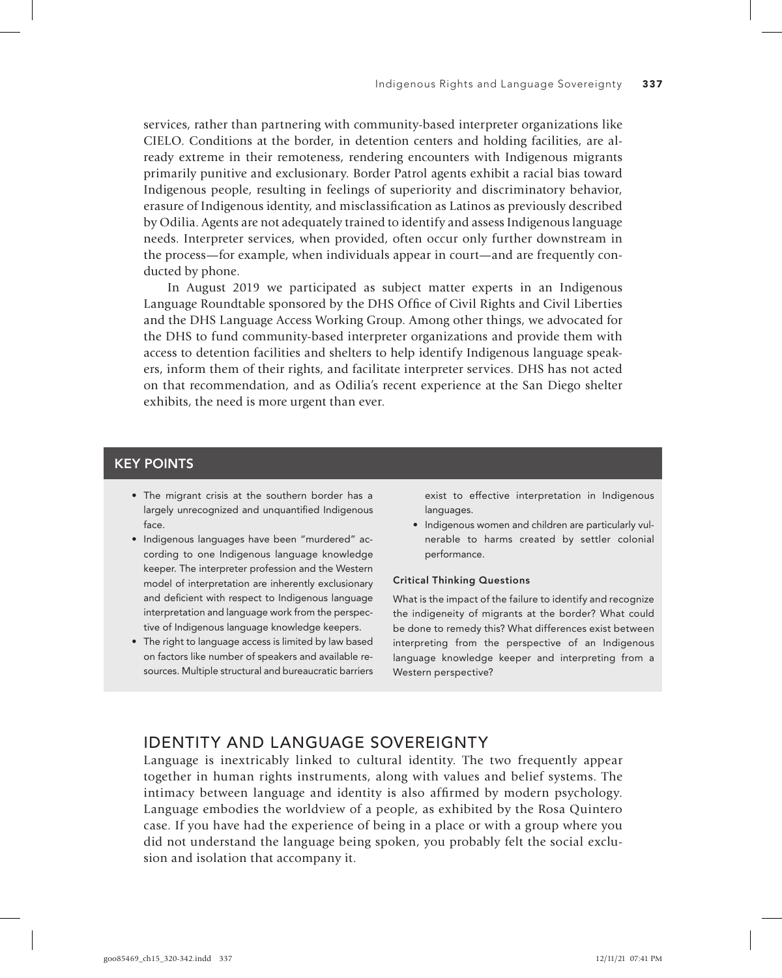services, rather than partnering with community-based interpreter organizations like CIELO. Conditions at the border, in detention centers and holding facilities, are already extreme in their remoteness, rendering encounters with Indigenous migrants primarily punitive and exclusionary. Border Patrol agents exhibit a racial bias toward Indigenous people, resulting in feelings of superiority and discriminatory behavior, erasure of Indigenous identity, and misclassification as Latinos as previously described by Odilia. Agents are not adequately trained to identify and assess Indigenous language needs. Interpreter services, when provided, often occur only further downstream in the process—for example, when individuals appear in court—and are frequently conducted by phone.

In August 2019 we participated as subject matter experts in an Indigenous Language Roundtable sponsored by the DHS Office of Civil Rights and Civil Liberties and the DHS Language Access Working Group. Among other things, we advocated for the DHS to fund community-based interpreter organizations and provide them with access to detention facilities and shelters to help identify Indigenous language speakers, inform them of their rights, and facilitate interpreter services. DHS has not acted on that recommendation, and as Odilia's recent experience at the San Diego shelter exhibits, the need is more urgent than ever.

## KEY POINTS

- The migrant crisis at the southern border has a largely unrecognized and unquantified Indigenous face.
- Indigenous languages have been "murdered" according to one Indigenous language knowledge keeper. The interpreter profession and the Western model of interpretation are inherently exclusionary and deficient with respect to Indigenous language interpretation and language work from the perspective of Indigenous language knowledge keepers.
- The right to language access is limited by law based on factors like number of speakers and available resources. Multiple structural and bureaucratic barriers

exist to effective interpretation in Indigenous languages.

• Indigenous women and children are particularly vulnerable to harms created by settler colonial performance.

#### Critical Thinking Questions

What is the impact of the failure to identify and recognize the indigeneity of migrants at the border? What could be done to remedy this? What differences exist between interpreting from the perspective of an Indigenous language knowledge keeper and interpreting from a Western perspective?

# IDENTITY AND LANGUAGE SOVEREIGNTY

Language is inextricably linked to cultural identity. The two frequently appear together in human rights instruments, along with values and belief systems. The intimacy between language and identity is also affirmed by modern psychology. Language embodies the worldview of a people, as exhibited by the Rosa Quintero case. If you have had the experience of being in a place or with a group where you did not understand the language being spoken, you probably felt the social exclusion and isolation that accompany it.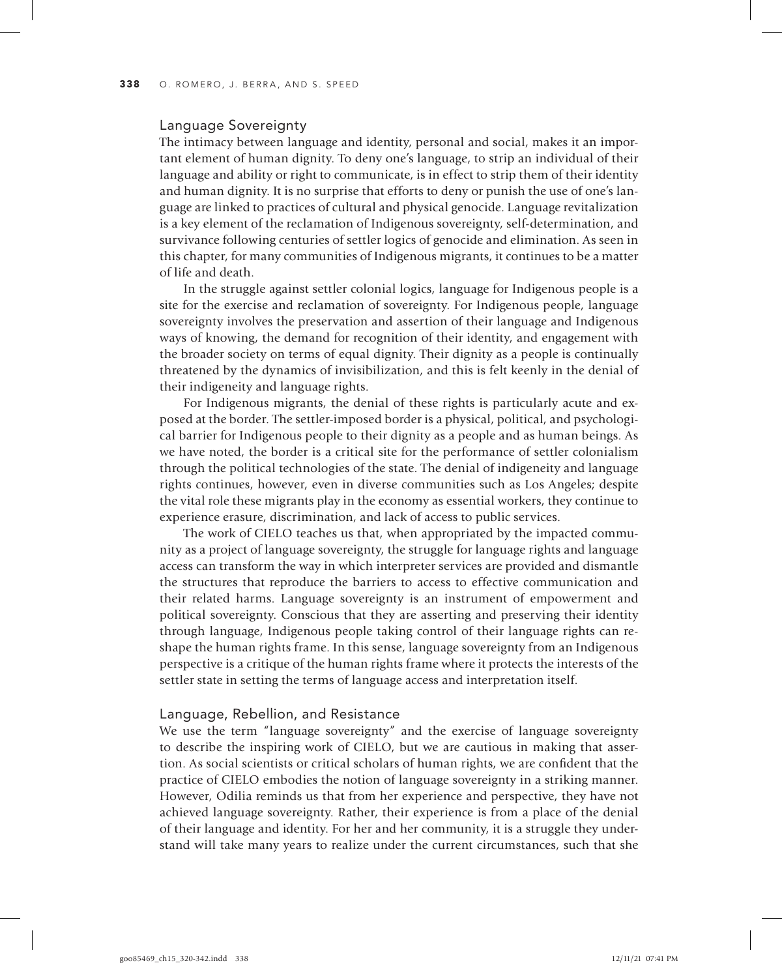#### Language Sovereignty

The intimacy between language and identity, personal and social, makes it an important element of human dignity. To deny one's language, to strip an individual of their language and ability or right to communicate, is in effect to strip them of their identity and human dignity. It is no surprise that efforts to deny or punish the use of one's language are linked to practices of cultural and physical genocide. Language revitalization is a key element of the reclamation of Indigenous sovereignty, self-determination, and survivance following centuries of settler logics of genocide and elimination. As seen in this chapter, for many communities of Indigenous migrants, it continues to be a matter of life and death.

In the struggle against settler colonial logics, language for Indigenous people is a site for the exercise and reclamation of sovereignty. For Indigenous people, language sovereignty involves the preservation and assertion of their language and Indigenous ways of knowing, the demand for recognition of their identity, and engagement with the broader society on terms of equal dignity. Their dignity as a people is continually threatened by the dynamics of invisibilization, and this is felt keenly in the denial of their indigeneity and language rights.

For Indigenous migrants, the denial of these rights is particularly acute and exposed at the border. The settler-imposed border is a physical, political, and psychological barrier for Indigenous people to their dignity as a people and as human beings. As we have noted, the border is a critical site for the performance of settler colonialism through the political technologies of the state. The denial of indigeneity and language rights continues, however, even in diverse communities such as Los Angeles; despite the vital role these migrants play in the economy as essential workers, they continue to experience erasure, discrimination, and lack of access to public services.

The work of CIELO teaches us that, when appropriated by the impacted community as a project of language sovereignty, the struggle for language rights and language access can transform the way in which interpreter services are provided and dismantle the structures that reproduce the barriers to access to effective communication and their related harms. Language sovereignty is an instrument of empowerment and political sovereignty. Conscious that they are asserting and preserving their identity through language, Indigenous people taking control of their language rights can reshape the human rights frame. In this sense, language sovereignty from an Indigenous perspective is a critique of the human rights frame where it protects the interests of the settler state in setting the terms of language access and interpretation itself.

#### Language, Rebellion, and Resistance

We use the term "language sovereignty" and the exercise of language sovereignty to describe the inspiring work of CIELO, but we are cautious in making that assertion. As social scientists or critical scholars of human rights, we are confident that the practice of CIELO embodies the notion of language sovereignty in a striking manner. However, Odilia reminds us that from her experience and perspective, they have not achieved language sovereignty. Rather, their experience is from a place of the denial of their language and identity. For her and her community, it is a struggle they understand will take many years to realize under the current circumstances, such that she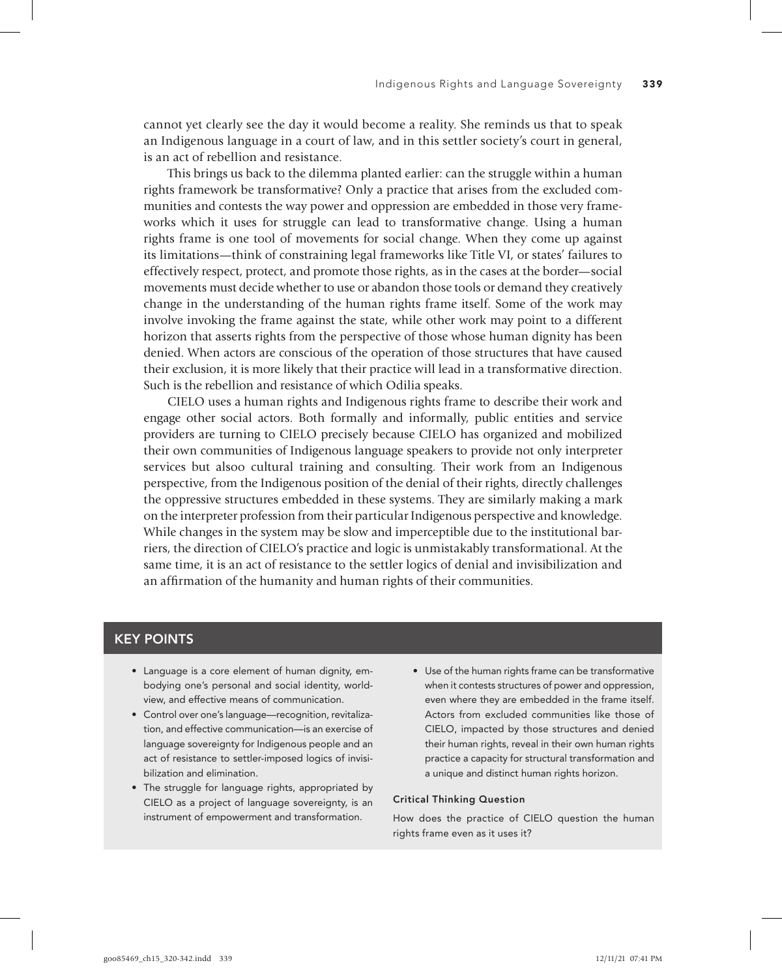cannot yet clearly see the day it would become a reality. She reminds us that to speak an Indigenous language in a court of law, and in this settler society's court in general, is an act of rebellion and resistance.

This brings us back to the dilemma planted earlier: can the struggle within a human rights framework be transformative? Only a practice that arises from the excluded communities and contests the way power and oppression are embedded in those very frameworks which it uses for struggle can lead to transformative change. Using a human rights frame is one tool of movements for social change. When they come up against its limitations—think of constraining legal frameworks like Title VI, or states' failures to effectively respect, protect, and promote those rights, as in the cases at the border—social movements must decide whether to use or abandon those tools or demand they creatively change in the understanding of the human rights frame itself. Some of the work may involve invoking the frame against the state, while other work may point to a different horizon that asserts rights from the perspective of those whose human dignity has been denied. When actors are conscious of the operation of those structures that have caused their exclusion, it is more likely that their practice will lead in a transformative direction. Such is the rebellion and resistance of which Odilia speaks.

CIELO uses a human rights and Indigenous rights frame to describe their work and engage other social actors. Both formally and informally, public entities and service providers are turning to CIELO precisely because CIELO has organized and mobilized their own communities of Indigenous language speakers to provide not only interpreter services but alsoo cultural training and consulting. Their work from an Indigenous perspective, from the Indigenous position of the denial of their rights, directly challenges the oppressive structures embedded in these systems. They are similarly making a mark on the interpreter profession from their particular Indigenous perspective and knowledge. While changes in the system may be slow and imperceptible due to the institutional barriers, the direction of CIELO's practice and logic is unmistakably transformational. At the same time, it is an act of resistance to the settler logics of denial and invisibilization and an affirmation of the humanity and human rights of their communities.

### KEY POINTS

- Language is a core element of human dignity, embodying one's personal and social identity, worldview, and effective means of communication.
- Control over one's language—recognition, revitalization, and effective communication—is an exercise of language sovereignty for Indigenous people and an act of resistance to settler-imposed logics of invisibilization and elimination.
- The struggle for language rights, appropriated by CIELO as a project of language sovereignty, is an instrument of empowerment and transformation.
- Use of the human rights frame can be transformative when it contests structures of power and oppression, even where they are embedded in the frame itself. Actors from excluded communities like those of CIELO, impacted by those structures and denied their human rights, reveal in their own human rights practice a capacity for structural transformation and a unique and distinct human rights horizon.

#### Critical Thinking Question

How does the practice of CIELO question the human rights frame even as it uses it?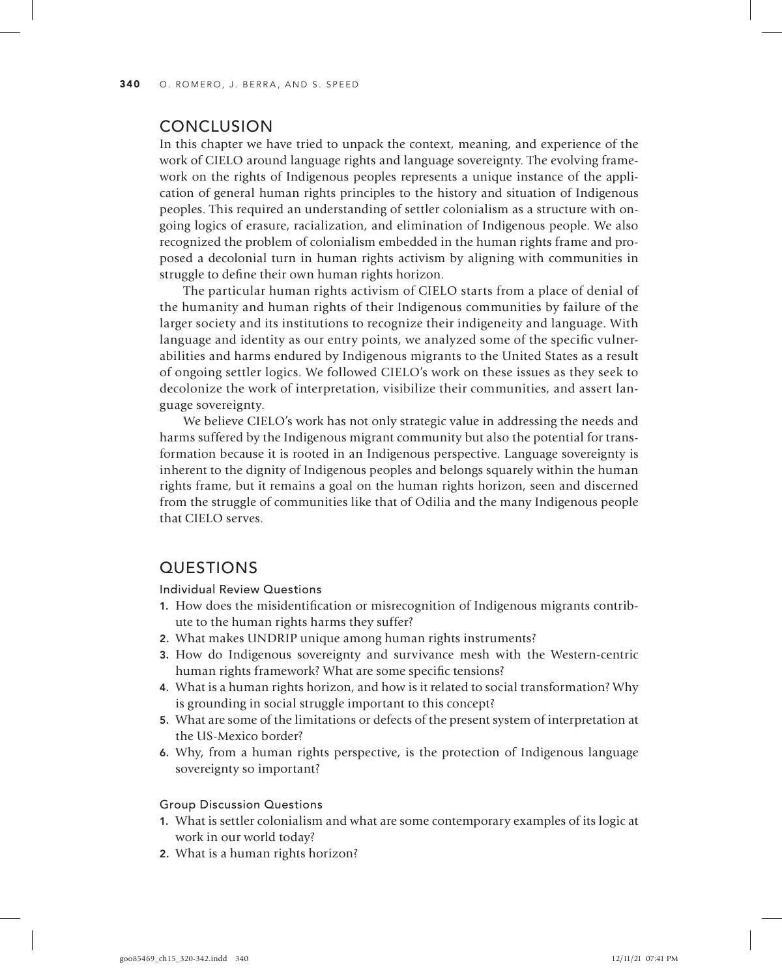# **CONCLUSION**

In this chapter we have tried to unpack the context, meaning, and experience of the work of CIELO around language rights and language sovereignty. The evolving framework on the rights of Indigenous peoples represents a unique instance of the application of general human rights principles to the history and situation of Indigenous peoples. This required an understanding of settler colonialism as a structure with ongoing logics of erasure, racialization, and elimination of Indigenous people. We also recognized the problem of colonialism embedded in the human rights frame and proposed a decolonial turn in human rights activism by aligning with communities in struggle to define their own human rights horizon.

The particular human rights activism of CIELO starts from a place of denial of the humanity and human rights of their Indigenous communities by failure of the larger society and its institutions to recognize their indigeneity and language. With language and identity as our entry points, we analyzed some of the specific vulnerabilities and harms endured by Indigenous migrants to the United States as a result of ongoing settler logics. We followed CIELO's work on these issues as they seek to decolonize the work of interpretation, visibilize their communities, and assert language sovereignty.

We believe CIELO's work has not only strategic value in addressing the needs and harms suffered by the Indigenous migrant community but also the potential for transformation because it is rooted in an Indigenous perspective. Language sovereignty is inherent to the dignity of Indigenous peoples and belongs squarely within the human rights frame, but it remains a goal on the human rights horizon, seen and discerned from the struggle of communities like that of Odilia and the many Indigenous people that CIELO serves.

# QUESTIONS

Individual Review Questions

- 1. How does the misidentification or misrecognition of Indigenous migrants contribute to the human rights harms they suffer?
- 2. What makes UNDRIP unique among human rights instruments?
- 3. How do Indigenous sovereignty and survivance mesh with the Western-centric human rights framework? What are some specific tensions?
- 4. What is a human rights horizon, and how is it related to social transformation? Why is grounding in social struggle important to this concept?
- 5. What are some of the limitations or defects of the present system of interpretation at the US-Mexico border?
- 6. Why, from a human rights perspective, is the protection of Indigenous language sovereignty so important?

#### Group Discussion Questions

- 1. What is settler colonialism and what are some contemporary examples of its logic at work in our world today?
- 2. What is a human rights horizon?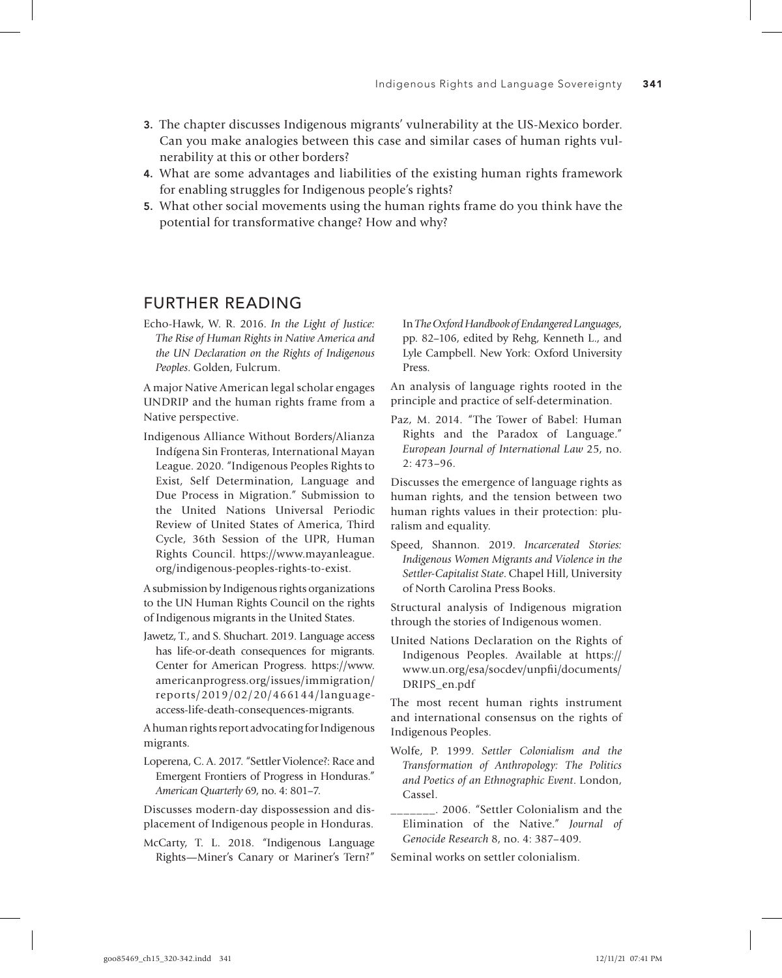- 3. The chapter discusses Indigenous migrants' vulnerability at the US-Mexico border. Can you make analogies between this case and similar cases of human rights vulnerability at this or other borders?
- 4. What are some advantages and liabilities of the existing human rights framework for enabling struggles for Indigenous people's rights?
- 5. What other social movements using the human rights frame do you think have the potential for transformative change? How and why?

# FURTHER READING

Echo-Hawk, W. R. 2016. *In the Light of Justice: The Rise of Human Rights in Native America and the UN Declaration on the Rights of Indigenous Peoples*. Golden, Fulcrum.

A major Native American legal scholar engages UNDRIP and the human rights frame from a Native perspective.

Indigenous Alliance Without Borders/Alianza Indígena Sin Fronteras, International Mayan League. 2020. "Indigenous Peoples Rights to Exist, Self Determination, Language and Due Process in Migration." Submission to the United Nations Universal Periodic Review of United States of America, Third Cycle, 36th Session of the UPR, Human Rights Council. https://www.mayanleague. org/indigenous-peoples-rights-to-exist.

A submission by Indigenous rights organizations to the UN Human Rights Council on the rights of Indigenous migrants in the United States.

Jawetz, T., and S. Shuchart. 2019. Language access has life-or-death consequences for migrants. Center for American Progress. https://www. americanprogress.org/issues/immigration/ reports/2019/02/20/466144/languageaccess-life-death-consequences-migrants.

A human rights report advocating for Indigenous migrants.

Loperena, C. A. 2017. "Settler Violence?: Race and Emergent Frontiers of Progress in Honduras." *American Quarterly* 69, no. 4: 801–7.

Discusses modern-day dispossession and displacement of Indigenous people in Honduras.

McCarty, T. L. 2018. "Indigenous Language Rights—Miner's Canary or Mariner's Tern?" In *The Oxford Handbook of Endangered Languages*, pp. 82–106, edited by Rehg, Kenneth L., and Lyle Campbell. New York: Oxford University Press.

An analysis of language rights rooted in the principle and practice of self-determination.

Paz, M. 2014. "The Tower of Babel: Human Rights and the Paradox of Language." *European Journal of International Law* 25, no. 2: 473–96.

Discusses the emergence of language rights as human rights, and the tension between two human rights values in their protection: pluralism and equality.

Speed, Shannon. 2019. *Incarcerated Stories: Indigenous Women Migrants and Violence in the Settler-Capitalist State*. Chapel Hill, University of North Carolina Press Books.

Structural analysis of Indigenous migration through the stories of Indigenous women.

United Nations Declaration on the Rights of Indigenous Peoples. Available at https:// www.un.org/esa/socdev/unpfii/documents/ DRIPS\_en.pdf

The most recent human rights instrument and international consensus on the rights of Indigenous Peoples.

- Wolfe, P. 1999. *Settler Colonialism and the Transformation of Anthropology: The Politics and Poetics of an Ethnographic Event*. London, Cassel.
- \_\_\_\_\_\_\_. 2006. "Settler Colonialism and the Elimination of the Native." *Journal of Genocide Research* 8, no. 4: 387–409.

Seminal works on settler colonialism.